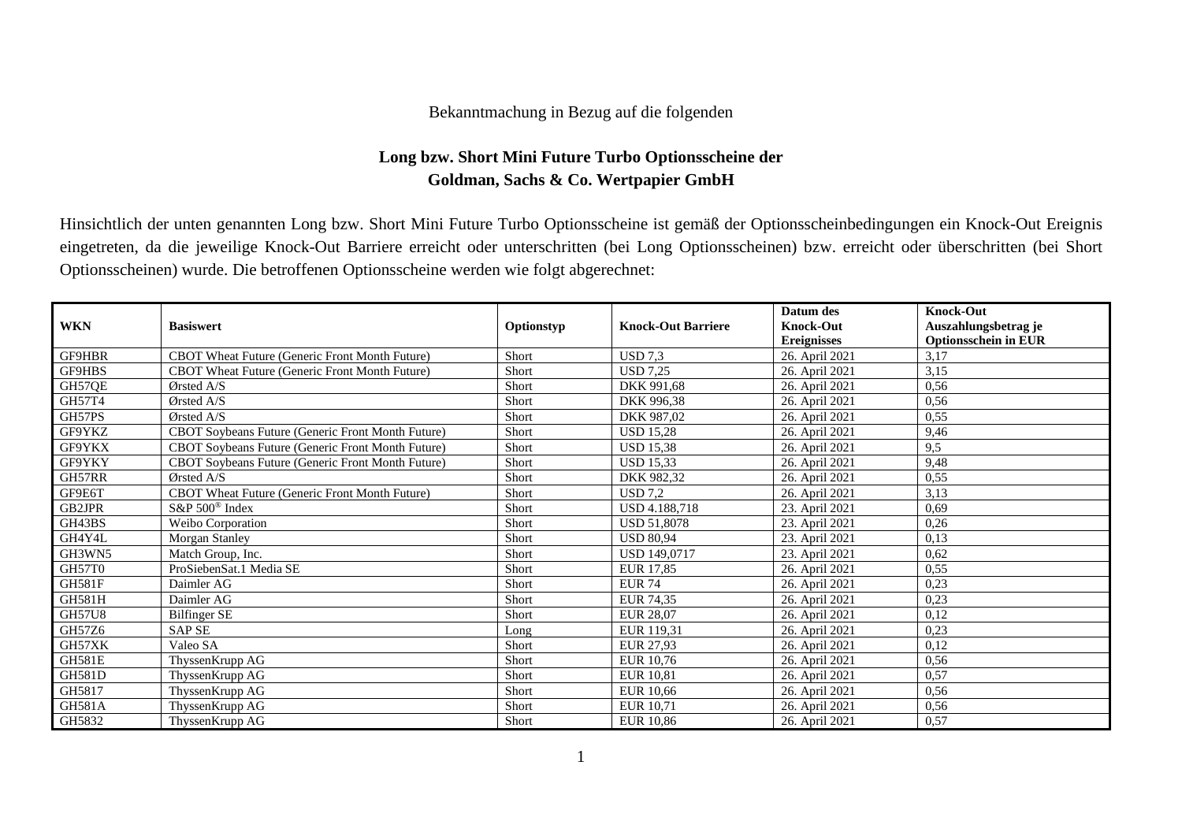## Bekanntmachung in Bezug auf die folgenden

## **Long bzw. Short Mini Future Turbo Optionsscheine der Goldman, Sachs & Co. Wertpapier GmbH**

Hinsichtlich der unten genannten Long bzw. Short Mini Future Turbo Optionsscheine ist gemäß der Optionsscheinbedingungen ein Knock-Out Ereignis eingetreten, da die jeweilige Knock-Out Barriere erreicht oder unterschritten (bei Long Optionsscheinen) bzw. erreicht oder überschritten (bei Short Optionsscheinen) wurde. Die betroffenen Optionsscheine werden wie folgt abgerechnet:

|               |                                                   |            |                           | Datum des          | <b>Knock-Out</b>            |
|---------------|---------------------------------------------------|------------|---------------------------|--------------------|-----------------------------|
| <b>WKN</b>    | <b>Basiswert</b>                                  | Optionstyp | <b>Knock-Out Barriere</b> | <b>Knock-Out</b>   | Auszahlungsbetrag je        |
|               |                                                   |            |                           | <b>Ereignisses</b> | <b>Optionsschein in EUR</b> |
| GF9HBR        | CBOT Wheat Future (Generic Front Month Future)    | Short      | <b>USD</b> 7,3            | 26. April 2021     | 3,17                        |
| GF9HBS        | CBOT Wheat Future (Generic Front Month Future)    | Short      | <b>USD 7.25</b>           | 26. April 2021     | 3,15                        |
| GH57QE        | $\sigma$ Orsted A/S                               | Short      | DKK 991.68                | 26. April 2021     | 0,56                        |
| GH57T4        | $\mathcal{O}$ rsted A/S                           | Short      | DKK 996.38                | 26. April 2021     | 0,56                        |
| GH57PS        | Ørsted A/S                                        | Short      | DKK 987,02                | 26. April 2021     | 0,55                        |
| GF9YKZ        | CBOT Soybeans Future (Generic Front Month Future) | Short      | <b>USD 15.28</b>          | 26. April 2021     | 9,46                        |
| GF9YKX        | CBOT Soybeans Future (Generic Front Month Future) | Short      | <b>USD 15,38</b>          | 26. April 2021     | 9,5                         |
| GF9YKY        | CBOT Soybeans Future (Generic Front Month Future) | Short      | <b>USD 15,33</b>          | 26. April 2021     | 9,48                        |
| GH57RR        | $\mathcal{O}$ rsted A/S                           | Short      | DKK 982.32                | 26. April 2021     | 0,55                        |
| GF9E6T        | CBOT Wheat Future (Generic Front Month Future)    | Short      | <b>USD</b> 7,2            | 26. April 2021     | 3,13                        |
| GB2JPR        | S&P 500 <sup>®</sup> Index                        | Short      | USD 4.188,718             | 23. April 2021     | 0.69                        |
| GH43BS        | Weibo Corporation                                 | Short      | <b>USD 51.8078</b>        | 23. April 2021     | 0,26                        |
| GH4Y4L        | Morgan Stanley                                    | Short      | <b>USD 80.94</b>          | 23. April 2021     | 0,13                        |
| GH3WN5        | Match Group, Inc.                                 | Short      | USD 149,0717              | 23. April 2021     | 0,62                        |
| GH57T0        | ProSiebenSat.1 Media SE                           | Short      | EUR 17.85                 | 26. April 2021     | 0,55                        |
| <b>GH581F</b> | Daimler AG                                        | Short      | <b>EUR 74</b>             | 26. April 2021     | 0,23                        |
| GH581H        | Daimler AG                                        | Short      | <b>EUR 74,35</b>          | 26. April 2021     | 0,23                        |
| <b>GH57U8</b> | Bilfinger SE                                      | Short      | EUR 28,07                 | 26. April 2021     | 0,12                        |
| GH57Z6        | <b>SAP SE</b>                                     | Long       | EUR 119,31                | 26. April 2021     | 0,23                        |
| GH57XK        | Valeo SA                                          | Short      | EUR 27,93                 | 26. April 2021     | 0,12                        |
| <b>GH581E</b> | ThyssenKrupp AG                                   | Short      | EUR 10,76                 | 26. April 2021     | 0,56                        |
| <b>GH581D</b> | ThyssenKrupp AG                                   | Short      | <b>EUR 10.81</b>          | 26. April 2021     | 0,57                        |
| GH5817        | ThyssenKrupp AG                                   | Short      | <b>EUR 10,66</b>          | 26. April 2021     | 0,56                        |
| <b>GH581A</b> | ThyssenKrupp AG                                   | Short      | EUR 10,71                 | 26. April 2021     | 0,56                        |
| GH5832        | ThyssenKrupp AG                                   | Short      | <b>EUR 10,86</b>          | 26. April 2021     | 0,57                        |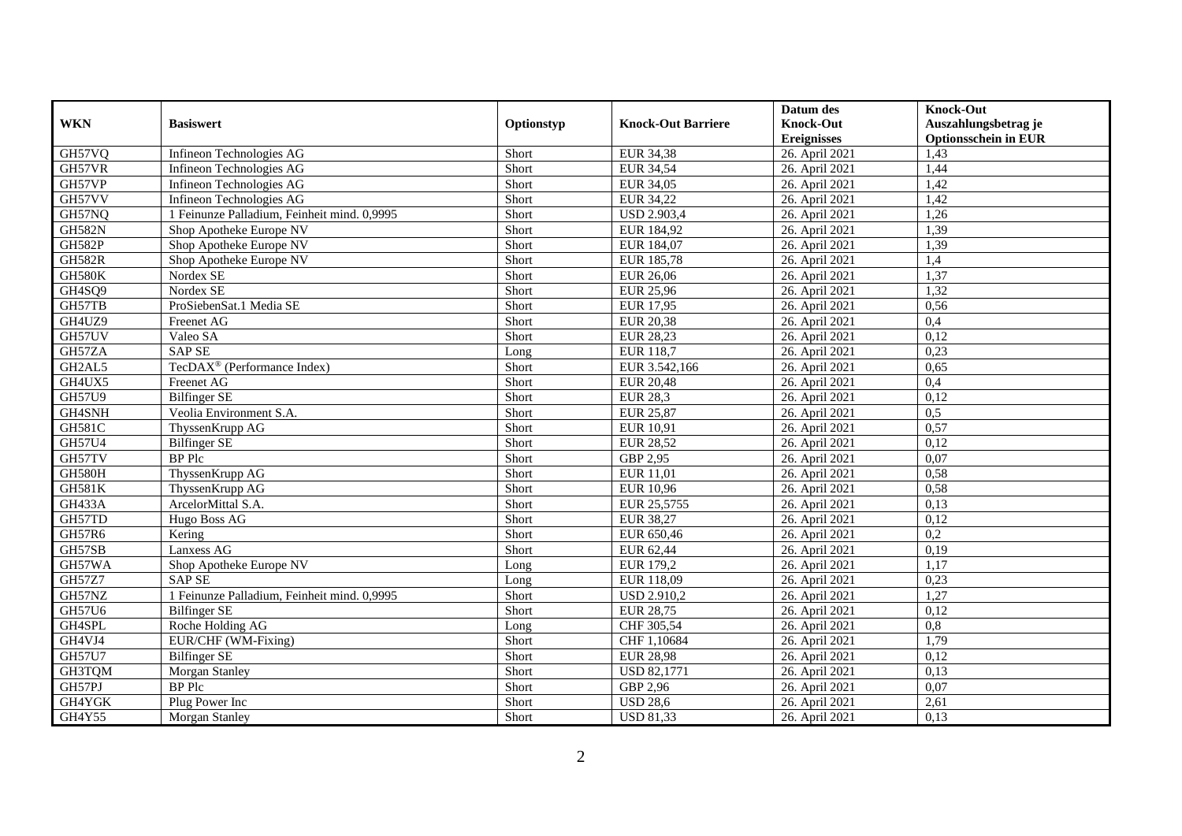|               |                                             |            |                           | Datum des          | <b>Knock-Out</b>            |
|---------------|---------------------------------------------|------------|---------------------------|--------------------|-----------------------------|
| <b>WKN</b>    | <b>Basiswert</b>                            | Optionstyp | <b>Knock-Out Barriere</b> | <b>Knock-Out</b>   | Auszahlungsbetrag je        |
|               |                                             |            |                           | <b>Ereignisses</b> | <b>Optionsschein in EUR</b> |
| GH57VQ        | Infineon Technologies AG                    | Short      | EUR 34,38                 | 26. April 2021     | 1,43                        |
| GH57VR        | Infineon Technologies AG                    | Short      | <b>EUR 34,54</b>          | 26. April 2021     | 1,44                        |
| GH57VP        | Infineon Technologies AG                    | Short      | EUR 34,05                 | 26. April 2021     | 1,42                        |
| GH57VV        | Infineon Technologies AG                    | Short      | EUR 34,22                 | 26. April 2021     | 1,42                        |
| GH57NQ        | 1 Feinunze Palladium, Feinheit mind. 0,9995 | Short      | <b>USD 2.903,4</b>        | 26. April 2021     | 1,26                        |
| <b>GH582N</b> | Shop Apotheke Europe NV                     | Short      | EUR 184,92                | 26. April 2021     | 1,39                        |
| <b>GH582P</b> | Shop Apotheke Europe NV                     | Short      | EUR 184,07                | 26. April 2021     | 1,39                        |
| <b>GH582R</b> | Shop Apotheke Europe NV                     | Short      | EUR 185,78                | 26. April 2021     | 1,4                         |
| <b>GH580K</b> | Nordex SE                                   | Short      | <b>EUR 26,06</b>          | 26. April 2021     | 1,37                        |
| GH4SQ9        | Nordex SE                                   | Short      | <b>EUR 25,96</b>          | 26. April 2021     | 1,32                        |
| GH57TB        | ProSiebenSat.1 Media SE                     | Short      | <b>EUR 17,95</b>          | 26. April 2021     | 0,56                        |
| GH4UZ9        | Freenet AG                                  | Short      | EUR 20,38                 | 26. April 2021     | 0,4                         |
| GH57UV        | Valeo SA                                    | Short      | EUR 28,23                 | 26. April 2021     | 0,12                        |
| GH57ZA        | <b>SAP SE</b>                               | Long       | EUR 118,7                 | 26. April 2021     | 0,23                        |
| GH2AL5        | TecDAX <sup>®</sup> (Performance Index)     | Short      | EUR 3.542,166             | 26. April 2021     | 0,65                        |
| GH4UX5        | Freenet AG                                  | Short      | <b>EUR 20,48</b>          | 26. April 2021     | 0,4                         |
| GH57U9        | <b>Bilfinger SE</b>                         | Short      | <b>EUR 28,3</b>           | 26. April 2021     | 0,12                        |
| GH4SNH        | Veolia Environment S.A.                     | Short      | <b>EUR 25,87</b>          | 26. April 2021     | 0,5                         |
| <b>GH581C</b> | ThyssenKrupp AG                             | Short      | EUR 10,91                 | 26. April 2021     | 0,57                        |
| GH57U4        | <b>Bilfinger SE</b>                         | Short      | <b>EUR 28,52</b>          | 26. April 2021     | 0,12                        |
| GH57TV        | <b>BP</b> Plc                               | Short      | GBP 2,95                  | 26. April 2021     | 0,07                        |
| <b>GH580H</b> | ThyssenKrupp AG                             | Short      | EUR 11,01                 | 26. April 2021     | 0,58                        |
| <b>GH581K</b> | ThyssenKrupp AG                             | Short      | <b>EUR 10,96</b>          | 26. April 2021     | 0,58                        |
| <b>GH433A</b> | ArcelorMittal S.A.                          | Short      | EUR 25,5755               | 26. April 2021     | 0,13                        |
| GH57TD        | Hugo Boss AG                                | Short      | <b>EUR 38,27</b>          | 26. April 2021     | 0,12                        |
| GH57R6        | Kering                                      | Short      | EUR 650,46                | 26. April 2021     | 0,2                         |
| GH57SB        | Lanxess AG                                  | Short      | EUR 62,44                 | 26. April 2021     | 0,19                        |
| GH57WA        | Shop Apotheke Europe NV                     | Long       | EUR 179,2                 | 26. April 2021     | 1,17                        |
| <b>GH57Z7</b> | <b>SAPSE</b>                                | Long       | EUR 118,09                | 26. April 2021     | 0,23                        |
| GH57NZ        | 1 Feinunze Palladium, Feinheit mind. 0,9995 | Short      | <b>USD 2.910,2</b>        | 26. April 2021     | 1,27                        |
| GH57U6        | <b>Bilfinger SE</b>                         | Short      | <b>EUR 28,75</b>          | 26. April 2021     | 0,12                        |
| GH4SPL        | Roche Holding AG                            | Long       | CHF 305,54                | 26. April 2021     | $\overline{0,8}$            |
| GH4VJ4        | EUR/CHF (WM-Fixing)                         | Short      | CHF 1,10684               | 26. April 2021     | 1,79                        |
| <b>GH57U7</b> | <b>Bilfinger SE</b>                         | Short      | <b>EUR 28,98</b>          | 26. April 2021     | 0,12                        |
| GH3TQM        | Morgan Stanley                              | Short      | <b>USD 82,1771</b>        | 26. April 2021     | 0,13                        |
| GH57PJ        | <b>BP</b> Plc                               | Short      | GBP 2,96                  | 26. April 2021     | 0,07                        |
| GH4YGK        | Plug Power Inc                              | Short      | <b>USD 28,6</b>           | 26. April 2021     | 2,61                        |
| GH4Y55        | Morgan Stanley                              | Short      | <b>USD 81,33</b>          | 26. April 2021     | 0,13                        |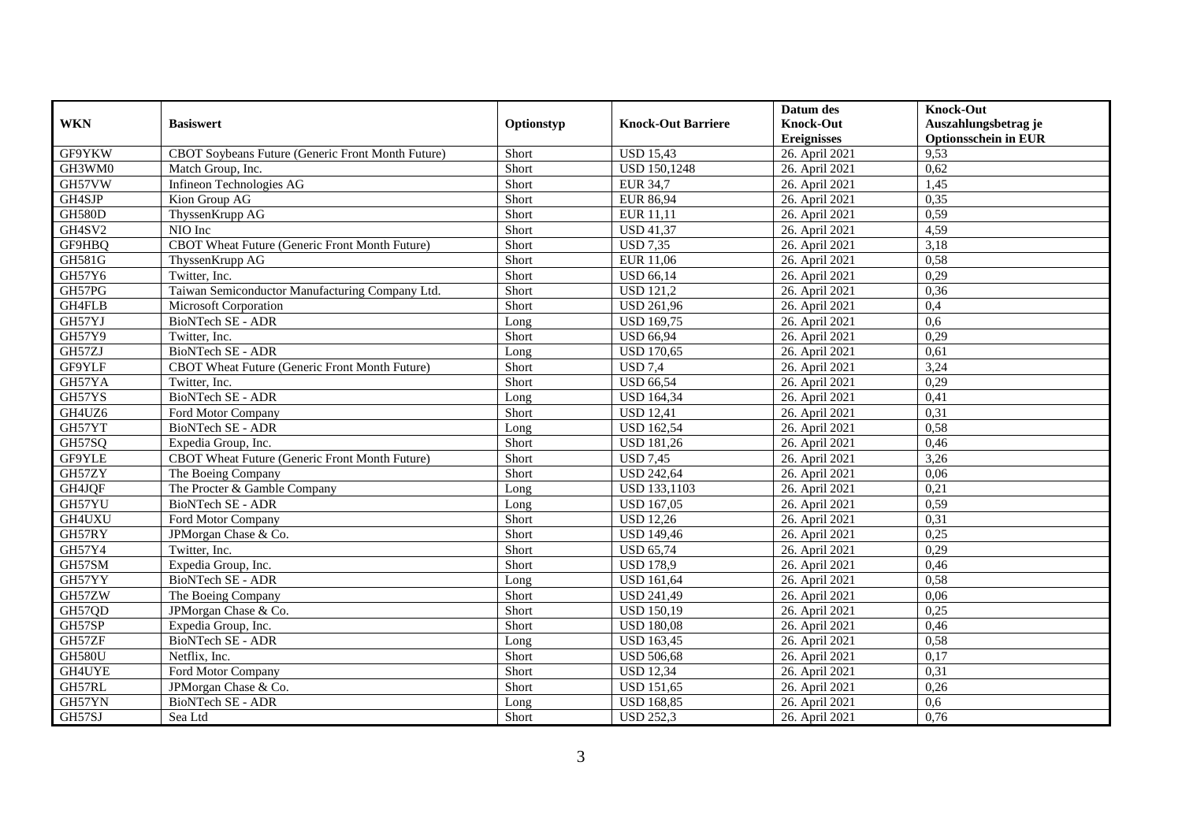|               |                                                       |            |                           | Datum des          | <b>Knock-Out</b>            |
|---------------|-------------------------------------------------------|------------|---------------------------|--------------------|-----------------------------|
| <b>WKN</b>    | <b>Basiswert</b>                                      | Optionstyp | <b>Knock-Out Barriere</b> | <b>Knock-Out</b>   | Auszahlungsbetrag je        |
|               |                                                       |            |                           | <b>Ereignisses</b> | <b>Optionsschein in EUR</b> |
| GF9YKW        | CBOT Soybeans Future (Generic Front Month Future)     | Short      | <b>USD 15,43</b>          | 26. April 2021     | 9,53                        |
| GH3WM0        | Match Group, Inc.                                     | Short      | <b>USD 150,1248</b>       | 26. April 2021     | 0,62                        |
| GH57VW        | Infineon Technologies AG                              | Short      | <b>EUR 34,7</b>           | 26. April 2021     | 1,45                        |
| GH4SJP        | Kion Group AG                                         | Short      | <b>EUR 86,94</b>          | 26. April 2021     | 0,35                        |
| <b>GH580D</b> | ThyssenKrupp AG                                       | Short      | EUR 11,11                 | 26. April 2021     | 0,59                        |
| GH4SV2        | NIO Inc                                               | Short      | <b>USD 41,37</b>          | 26. April 2021     | 4,59                        |
| GF9HBO        | <b>CBOT</b> Wheat Future (Generic Front Month Future) | Short      | <b>USD 7.35</b>           | 26. April 2021     | 3,18                        |
| <b>GH581G</b> | ThyssenKrupp AG                                       | Short      | EUR 11,06                 | 26. April 2021     | 0,58                        |
| GH57Y6        | Twitter, Inc.                                         | Short      | <b>USD 66,14</b>          | 26. April 2021     | 0,29                        |
| GH57PG        | Taiwan Semiconductor Manufacturing Company Ltd.       | Short      | <b>USD 121,2</b>          | 26. April 2021     | 0,36                        |
| GH4FLB        | Microsoft Corporation                                 | Short      | <b>USD 261,96</b>         | 26. April 2021     | 0,4                         |
| GH57YJ        | BioNTech SE - ADR                                     | Long       | <b>USD 169,75</b>         | 26. April 2021     | 0,6                         |
| GH57Y9        | Twitter, Inc.                                         | Short      | <b>USD 66,94</b>          | 26. April 2021     | 0,29                        |
| GH57ZJ        | BioNTech SE - ADR                                     | Long       | <b>USD 170.65</b>         | 26. April 2021     | 0.61                        |
| GF9YLF        | CBOT Wheat Future (Generic Front Month Future)        | Short      | <b>USD 7.4</b>            | 26. April 2021     | 3,24                        |
| GH57YA        | Twitter, Inc.                                         | Short      | <b>USD 66,54</b>          | 26. April 2021     | 0,29                        |
| GH57YS        | BioNTech SE - ADR                                     | Long       | <b>USD 164,34</b>         | 26. April 2021     | 0,41                        |
| GH4UZ6        | Ford Motor Company                                    | Short      | <b>USD 12,41</b>          | 26. April 2021     | 0,31                        |
| GH57YT        | BioNTech SE - ADR                                     | Long       | <b>USD 162,54</b>         | 26. April 2021     | 0,58                        |
| GH57SQ        | Expedia Group, Inc.                                   | Short      | <b>USD 181,26</b>         | 26. April 2021     | 0,46                        |
| GF9YLE        | CBOT Wheat Future (Generic Front Month Future)        | Short      | <b>USD 7,45</b>           | 26. April 2021     | 3,26                        |
| GH57ZY        | The Boeing Company                                    | Short      | <b>USD 242,64</b>         | 26. April 2021     | 0,06                        |
| GH4JQF        | The Procter & Gamble Company                          | Long       | <b>USD 133,1103</b>       | 26. April 2021     | 0,21                        |
| GH57YU        | <b>BioNTech SE - ADR</b>                              | Long       | <b>USD 167,05</b>         | 26. April 2021     | 0,59                        |
| GH4UXU        | Ford Motor Company                                    | Short      | <b>USD 12,26</b>          | 26. April 2021     | 0,31                        |
| GH57RY        | JPMorgan Chase & Co.                                  | Short      | <b>USD 149,46</b>         | 26. April 2021     | 0,25                        |
| GH57Y4        | Twitter, Inc.                                         | Short      | <b>USD 65,74</b>          | 26. April 2021     | 0,29                        |
| GH57SM        | Expedia Group, Inc.                                   | Short      | <b>USD 178,9</b>          | 26. April 2021     | 0,46                        |
| GH57YY        | BioNTech SE - ADR                                     | Long       | <b>USD 161,64</b>         | 26. April 2021     | 0,58                        |
| GH57ZW        | The Boeing Company                                    | Short      | <b>USD 241,49</b>         | 26. April 2021     | 0,06                        |
| GH57QD        | JPMorgan Chase & Co.                                  | Short      | <b>USD 150,19</b>         | 26. April 2021     | 0,25                        |
| GH57SP        | Expedia Group, Inc.                                   | Short      | <b>USD 180,08</b>         | 26. April 2021     | 0,46                        |
| GH57ZF        | BioNTech SE - ADR                                     | Long       | <b>USD 163,45</b>         | 26. April 2021     | 0,58                        |
| <b>GH580U</b> | Netflix, Inc.                                         | Short      | <b>USD 506,68</b>         | 26. April 2021     | 0,17                        |
| GH4UYE        | Ford Motor Company                                    | Short      | <b>USD 12,34</b>          | 26. April 2021     | 0,31                        |
| GH57RL        | JPMorgan Chase & Co.                                  | Short      | <b>USD 151,65</b>         | 26. April 2021     | 0,26                        |
| GH57YN        | BioNTech SE - ADR                                     | Long       | <b>USD 168,85</b>         | 26. April 2021     | 0,6                         |
| GH57SJ        | Sea Ltd                                               | Short      | <b>USD 252,3</b>          | 26. April 2021     | 0,76                        |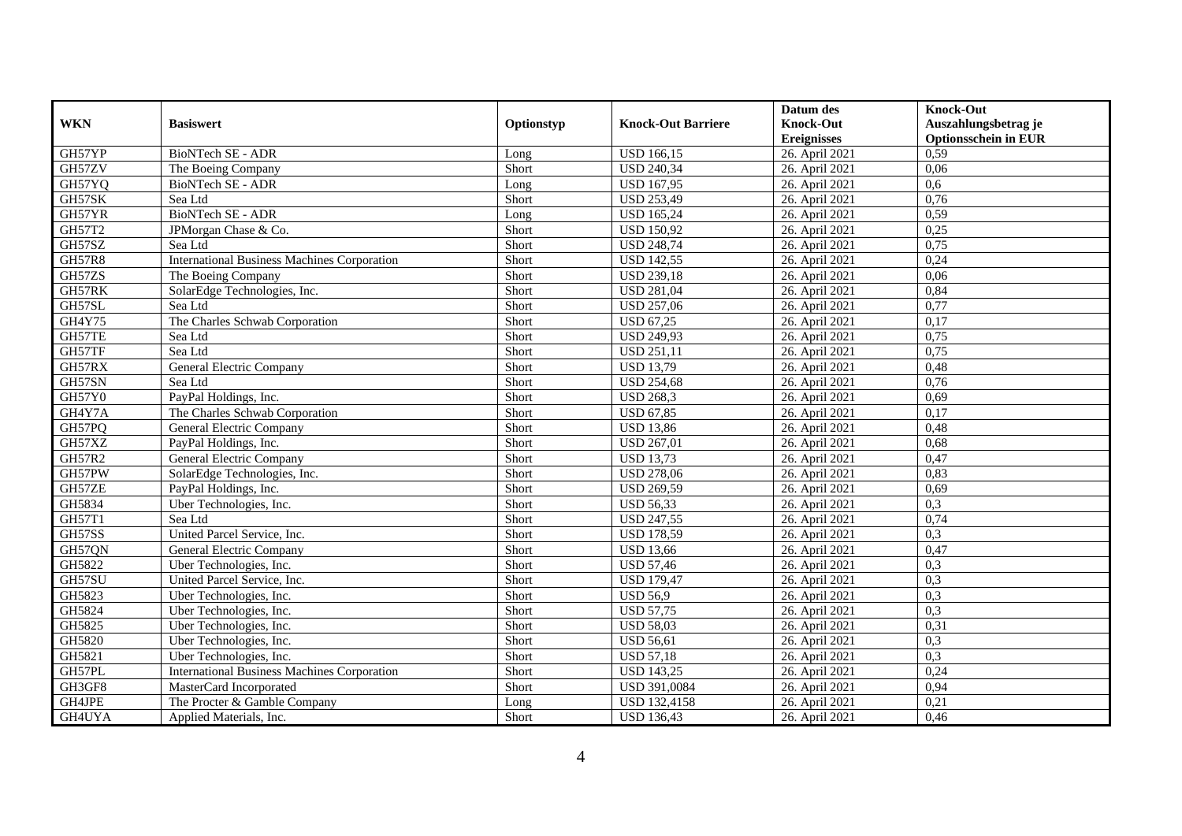|               |                                                    |            |                           | Datum des          | <b>Knock-Out</b>            |
|---------------|----------------------------------------------------|------------|---------------------------|--------------------|-----------------------------|
| <b>WKN</b>    | <b>Basiswert</b>                                   | Optionstyp | <b>Knock-Out Barriere</b> | <b>Knock-Out</b>   | Auszahlungsbetrag je        |
|               |                                                    |            |                           | <b>Ereignisses</b> | <b>Optionsschein in EUR</b> |
| GH57YP        | BioNTech SE - ADR                                  | Long       | <b>USD 166,15</b>         | 26. April 2021     | 0,59                        |
| GH57ZV        | The Boeing Company                                 | Short      | <b>USD 240,34</b>         | 26. April 2021     | 0,06                        |
| GH57YQ        | BioNTech SE - ADR                                  | Long       | <b>USD 167,95</b>         | 26. April 2021     | 0,6                         |
| GH57SK        | Sea Ltd                                            | Short      | <b>USD 253,49</b>         | 26. April 2021     | 0,76                        |
| GH57YR        | <b>BioNTech SE - ADR</b>                           | Long       | <b>USD 165,24</b>         | 26. April 2021     | 0,59                        |
| GH57T2        | JPMorgan Chase & Co.                               | Short      | <b>USD 150,92</b>         | 26. April 2021     | 0,25                        |
| GH57SZ        | Sea Ltd                                            | Short      | <b>USD 248,74</b>         | 26. April 2021     | 0,75                        |
| <b>GH57R8</b> | <b>International Business Machines Corporation</b> | Short      | <b>USD 142,55</b>         | 26. April 2021     | 0,24                        |
| GH57ZS        | The Boeing Company                                 | Short      | <b>USD 239,18</b>         | 26. April 2021     | 0,06                        |
| GH57RK        | SolarEdge Technologies, Inc.                       | Short      | <b>USD 281,04</b>         | 26. April 2021     | 0,84                        |
| GH57SL        | Sea Ltd                                            | Short      | <b>USD 257,06</b>         | 26. April 2021     | 0,77                        |
| GH4Y75        | The Charles Schwab Corporation                     | Short      | <b>USD 67,25</b>          | 26. April 2021     | 0,17                        |
| GH57TE        | Sea Ltd                                            | Short      | <b>USD 249,93</b>         | 26. April 2021     | 0,75                        |
| GH57TF        | Sea Ltd                                            | Short      | <b>USD 251,11</b>         | 26. April 2021     | 0,75                        |
| GH57RX        | General Electric Company                           | Short      | <b>USD 13,79</b>          | 26. April 2021     | 0,48                        |
| GH57SN        | Sea Ltd                                            | Short      | <b>USD 254,68</b>         | 26. April 2021     | 0,76                        |
| GH57Y0        | PayPal Holdings, Inc.                              | Short      | <b>USD 268,3</b>          | 26. April 2021     | 0,69                        |
| GH4Y7A        | The Charles Schwab Corporation                     | Short      | $\overline{$ USD 67,85    | 26. April 2021     | 0,17                        |
| GH57PQ        | <b>General Electric Company</b>                    | Short      | <b>USD 13,86</b>          | 26. April 2021     | 0,48                        |
| GH57XZ        | PayPal Holdings, Inc.                              | Short      | <b>USD 267,01</b>         | 26. April 2021     | 0,68                        |
| <b>GH57R2</b> | General Electric Company                           | Short      | <b>USD 13,73</b>          | 26. April 2021     | 0,47                        |
| GH57PW        | SolarEdge Technologies, Inc.                       | Short      | <b>USD 278,06</b>         | 26. April 2021     | 0,83                        |
| GH57ZE        | PayPal Holdings, Inc.                              | Short      | USD 269,59                | 26. April 2021     | 0,69                        |
| GH5834        | Uber Technologies, Inc.                            | Short      | <b>USD 56,33</b>          | 26. April 2021     | 0,3                         |
| GH57T1        | Sea Ltd                                            | Short      | <b>USD 247,55</b>         | 26. April 2021     | 0,74                        |
| GH57SS        | United Parcel Service, Inc.                        | Short      | <b>USD 178,59</b>         | 26. April 2021     | 0,3                         |
| GH57QN        | General Electric Company                           | Short      | <b>USD 13,66</b>          | 26. April 2021     | 0,47                        |
| GH5822        | Uber Technologies, Inc.                            | Short      | <b>USD 57,46</b>          | 26. April 2021     | 0,3                         |
| GH57SU        | United Parcel Service, Inc.                        | Short      | <b>USD 179,47</b>         | 26. April 2021     | 0,3                         |
| GH5823        | Uber Technologies, Inc.                            | Short      | <b>USD 56.9</b>           | 26. April 2021     | 0,3                         |
| GH5824        | Uber Technologies, Inc.                            | Short      | <b>USD 57,75</b>          | 26. April 2021     | 0,3                         |
| GH5825        | Uber Technologies, Inc.                            | Short      | <b>USD 58,03</b>          | 26. April 2021     | 0,31                        |
| GH5820        | Uber Technologies, Inc.                            | Short      | <b>USD 56,61</b>          | 26. April 2021     | 0,3                         |
| GH5821        | Uber Technologies, Inc.                            | Short      | <b>USD 57,18</b>          | 26. April 2021     | 0,3                         |
| GH57PL        | <b>International Business Machines Corporation</b> | Short      | <b>USD 143,25</b>         | 26. April 2021     | 0,24                        |
| GH3GF8        | MasterCard Incorporated                            | Short      | USD 391,0084              | 26. April 2021     | 0,94                        |
| GH4JPE        | The Procter & Gamble Company                       | Long       | <b>USD 132,4158</b>       | 26. April 2021     | 0,21                        |
| GH4UYA        | Applied Materials, Inc.                            | Short      | <b>USD 136,43</b>         | 26. April 2021     | 0,46                        |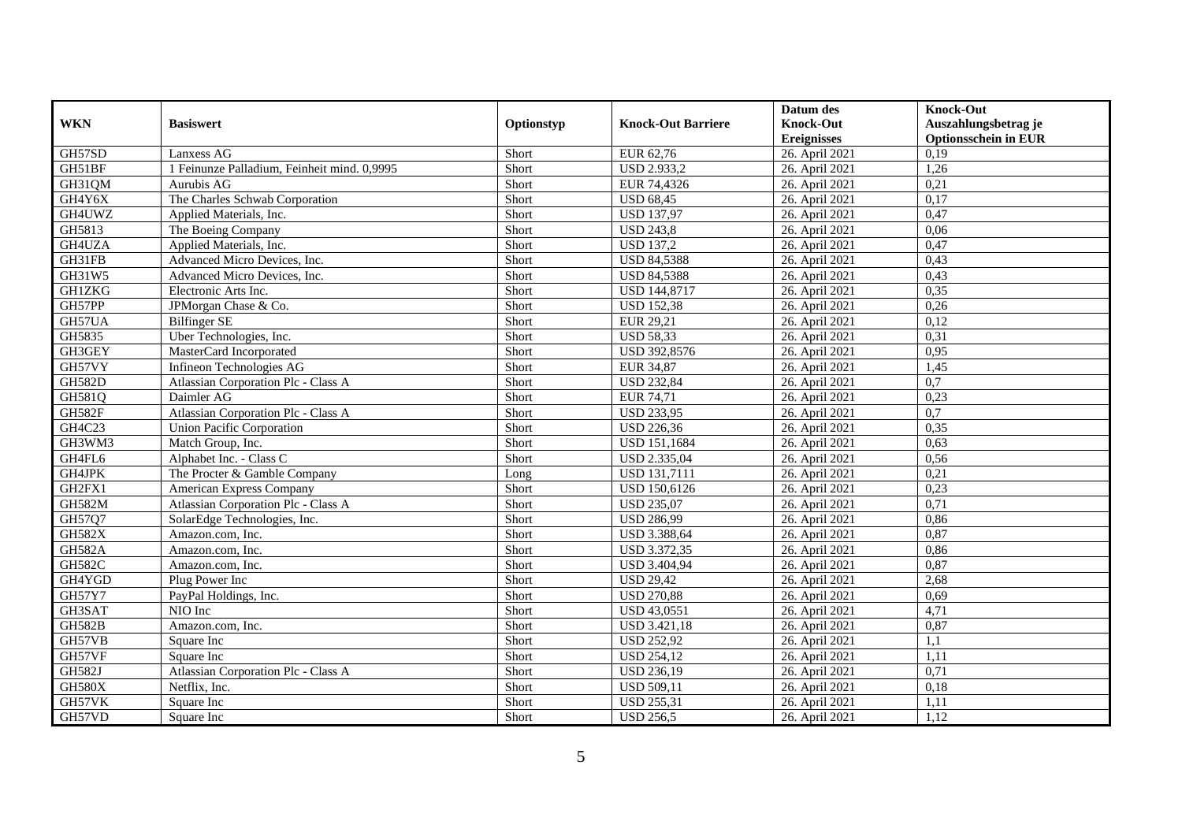|               |                                             |            |                           | Datum des          | <b>Knock-Out</b>            |
|---------------|---------------------------------------------|------------|---------------------------|--------------------|-----------------------------|
| <b>WKN</b>    | <b>Basiswert</b>                            | Optionstyp | <b>Knock-Out Barriere</b> | <b>Knock-Out</b>   | Auszahlungsbetrag je        |
|               |                                             |            |                           | <b>Ereignisses</b> | <b>Optionsschein in EUR</b> |
| GH57SD        | Lanxess AG                                  | Short      | EUR 62,76                 | 26. April 2021     | 0,19                        |
| GH51BF        | 1 Feinunze Palladium, Feinheit mind. 0,9995 | Short      | <b>USD 2.933,2</b>        | 26. April 2021     | 1,26                        |
| GH31QM        | Aurubis AG                                  | Short      | EUR 74,4326               | 26. April 2021     | 0,21                        |
| GH4Y6X        | The Charles Schwab Corporation              | Short      | <b>USD 68,45</b>          | 26. April 2021     | 0,17                        |
| GH4UWZ        | Applied Materials, Inc.                     | Short      | <b>USD 137,97</b>         | 26. April 2021     | 0,47                        |
| GH5813        | The Boeing Company                          | Short      | <b>USD 243,8</b>          | 26. April 2021     | 0,06                        |
| GH4UZA        | Applied Materials, Inc.                     | Short      | <b>USD 137.2</b>          | 26. April 2021     | 0,47                        |
| GH31FB        | Advanced Micro Devices, Inc.                | Short      | <b>USD 84,5388</b>        | 26. April 2021     | 0,43                        |
| GH31W5        | Advanced Micro Devices, Inc.                | Short      | <b>USD 84,5388</b>        | 26. April 2021     | 0,43                        |
| <b>GH1ZKG</b> | Electronic Arts Inc.                        | Short      | <b>USD 144,8717</b>       | 26. April 2021     | 0,35                        |
| GH57PP        | JPMorgan Chase & Co.                        | Short      | <b>USD 152,38</b>         | 26. April 2021     | 0,26                        |
| GH57UA        | Bilfinger SE                                | Short      | EUR 29,21                 | 26. April 2021     | 0,12                        |
| GH5835        | Uber Technologies, Inc.                     | Short      | <b>USD 58,33</b>          | 26. April 2021     | 0,31                        |
| GH3GEY        | MasterCard Incorporated                     | Short      | USD 392,8576              | 26. April 2021     | 0,95                        |
| GH57VY        | Infineon Technologies AG                    | Short      | <b>EUR 34,87</b>          | 26. April 2021     | 1,45                        |
| <b>GH582D</b> | Atlassian Corporation Plc - Class A         | Short      | <b>USD 232,84</b>         | 26. April 2021     | 0,7                         |
| GH581Q        | Daimler AG                                  | Short      | EUR 74,71                 | 26. April 2021     | 0,23                        |
| <b>GH582F</b> | Atlassian Corporation Plc - Class A         | Short      | <b>USD 233.95</b>         | 26. April 2021     | 0,7                         |
| GH4C23        | Union Pacific Corporation                   | Short      | <b>USD 226,36</b>         | 26. April 2021     | 0,35                        |
| GH3WM3        | Match Group, Inc.                           | Short      | <b>USD 151,1684</b>       | 26. April 2021     | 0,63                        |
| GH4FL6        | Alphabet Inc. - Class C                     | Short      | USD 2.335,04              | 26. April 2021     | 0,56                        |
| GH4JPK        | The Procter & Gamble Company                | Long       | <b>USD 131,7111</b>       | 26. April 2021     | 0,21                        |
| GH2FX1        | American Express Company                    | Short      | <b>USD 150,6126</b>       | 26. April 2021     | 0,23                        |
| <b>GH582M</b> | Atlassian Corporation Plc - Class A         | Short      | <b>USD 235,07</b>         | 26. April 2021     | 0,71                        |
| GH57Q7        | SolarEdge Technologies, Inc.                | Short      | <b>USD 286,99</b>         | 26. April 2021     | 0,86                        |
| <b>GH582X</b> | Amazon.com, Inc.                            | Short      | USD 3.388,64              | 26. April 2021     | 0,87                        |
| <b>GH582A</b> | Amazon.com. Inc.                            | Short      | USD 3.372,35              | 26. April 2021     | 0,86                        |
| <b>GH582C</b> | Amazon.com, Inc.                            | Short      | <b>USD 3.404.94</b>       | 26. April 2021     | 0,87                        |
| GH4YGD        | Plug Power Inc                              | Short      | <b>USD 29,42</b>          | 26. April 2021     | 2,68                        |
| <b>GH57Y7</b> | PayPal Holdings, Inc.                       | Short      | <b>USD 270,88</b>         | 26. April 2021     | 0,69                        |
| GH3SAT        | NIO Inc                                     | Short      | <b>USD 43,0551</b>        | 26. April 2021     | 4,71                        |
| <b>GH582B</b> | Amazon.com, Inc.                            | Short      | <b>USD 3.421,18</b>       | 26. April 2021     | 0,87                        |
| GH57VB        | Square Inc                                  | Short      | <b>USD 252,92</b>         | 26. April 2021     | 1,1                         |
| GH57VF        | Square Inc                                  | Short      | $\overline{USD}$ 254,12   | 26. April 2021     | 1,11                        |
| <b>GH582J</b> | Atlassian Corporation Plc - Class A         | Short      | <b>USD 236,19</b>         | 26. April 2021     | 0,71                        |
| <b>GH580X</b> | Netflix, Inc.                               | Short      | <b>USD 509,11</b>         | 26. April 2021     | 0,18                        |
| GH57VK        | Square Inc                                  | Short      | <b>USD 255,31</b>         | 26. April 2021     | 1,11                        |
| GH57VD        | Square Inc                                  | Short      | <b>USD 256,5</b>          | 26. April 2021     | 1,12                        |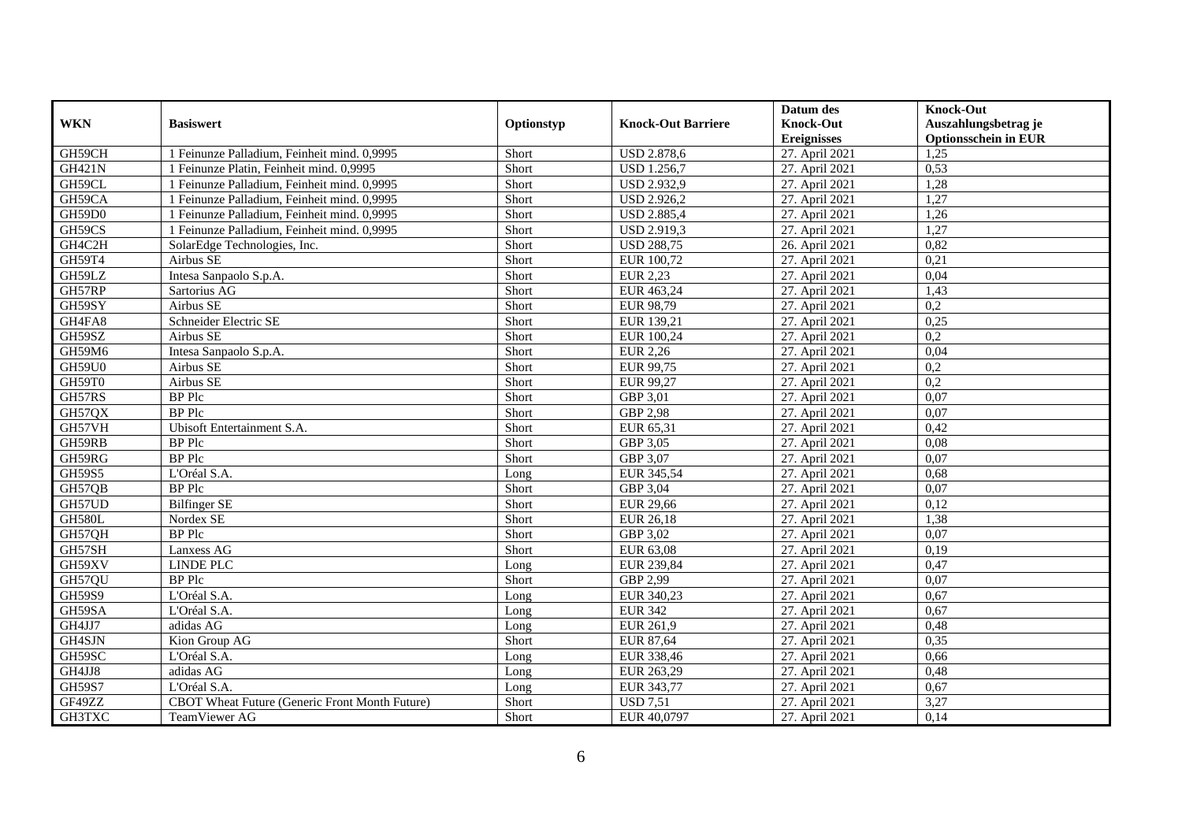|               |                                                |            |                           | Datum des          | <b>Knock-Out</b>            |
|---------------|------------------------------------------------|------------|---------------------------|--------------------|-----------------------------|
| <b>WKN</b>    | <b>Basiswert</b>                               | Optionstyp | <b>Knock-Out Barriere</b> | <b>Knock-Out</b>   | Auszahlungsbetrag je        |
|               |                                                |            |                           | <b>Ereignisses</b> | <b>Optionsschein in EUR</b> |
| GH59CH        | 1 Feinunze Palladium, Feinheit mind. 0,9995    | Short      | <b>USD 2.878,6</b>        | 27. April 2021     | 1,25                        |
| <b>GH421N</b> | 1 Feinunze Platin, Feinheit mind. 0,9995       | Short      | <b>USD 1.256,7</b>        | 27. April 2021     | 0,53                        |
| GH59CL        | 1 Feinunze Palladium, Feinheit mind. 0,9995    | Short      | <b>USD 2.932,9</b>        | 27. April 2021     | 1,28                        |
| GH59CA        | 1 Feinunze Palladium, Feinheit mind. 0,9995    | Short      | <b>USD 2.926,2</b>        | 27. April 2021     | 1,27                        |
| GH59D0        | 1 Feinunze Palladium, Feinheit mind. 0,9995    | Short      | <b>USD 2.885,4</b>        | 27. April 2021     | 1,26                        |
| GH59CS        | 1 Feinunze Palladium, Feinheit mind. 0,9995    | Short      | USD 2.919,3               | 27. April 2021     | 1,27                        |
| GH4C2H        | SolarEdge Technologies, Inc.                   | Short      | <b>USD 288,75</b>         | 26. April 2021     | 0,82                        |
| GH59T4        | Airbus SE                                      | Short      | EUR 100,72                | 27. April 2021     | 0,21                        |
| GH59LZ        | Intesa Sanpaolo S.p.A.                         | Short      | <b>EUR 2,23</b>           | 27. April 2021     | 0,04                        |
| GH57RP        | Sartorius AG                                   | Short      | EUR 463,24                | 27. April 2021     | 1,43                        |
| GH59SY        | Airbus SE                                      | Short      | EUR 98,79                 | 27. April 2021     | 0,2                         |
| GH4FA8        | Schneider Electric SE                          | Short      | EUR 139,21                | 27. April 2021     | 0,25                        |
| GH59SZ        | Airbus SE                                      | Short      | EUR 100,24                | 27. April 2021     | 0,2                         |
| GH59M6        | Intesa Sanpaolo S.p.A.                         | Short      | EUR 2,26                  | 27. April 2021     | 0,04                        |
| GH59U0        | Airbus SE                                      | Short      | EUR 99,75                 | 27. April 2021     | 0,2                         |
| GH59T0        | Airbus SE                                      | Short      | EUR 99,27                 | 27. April 2021     | 0,2                         |
| GH57RS        | <b>BP</b> Plc                                  | Short      | GBP 3,01                  | 27. April 2021     | 0,07                        |
| GH57QX        | <b>BP</b> Plc                                  | Short      | $\overline{GBP}$ 2,98     | 27. April 2021     | 0.07                        |
| GH57VH        | Ubisoft Entertainment S.A.                     | Short      | EUR 65,31                 | 27. April 2021     | 0,42                        |
| GH59RB        | <b>BP</b> Plc                                  | Short      | GBP 3,05                  | 27. April 2021     | 0,08                        |
| GH59RG        | <b>BP</b> Plc                                  | Short      | GBP 3,07                  | 27. April 2021     | 0,07                        |
| <b>GH59S5</b> | L'Oréal S.A.                                   | Long       | EUR 345,54                | 27. April 2021     | 0,68                        |
| GH57QB        | <b>BP</b> Plc                                  | Short      | GBP 3,04                  | 27. April 2021     | 0,07                        |
| GH57UD        | <b>Bilfinger SE</b>                            | Short      | <b>EUR 29,66</b>          | 27. April 2021     | 0,12                        |
| <b>GH580L</b> | Nordex SE                                      | Short      | EUR 26,18                 | 27. April 2021     | 1,38                        |
| GH57QH        | <b>BP</b> Plc                                  | Short      | GBP 3,02                  | 27. April 2021     | 0,07                        |
| GH57SH        | Lanxess AG                                     | Short      | EUR 63,08                 | 27. April 2021     | 0,19                        |
| GH59XV        | LINDE PLC                                      | Long       | EUR 239,84                | 27. April 2021     | 0,47                        |
| GH57QU        | <b>BP</b> Plc                                  | Short      | GBP 2,99                  | 27. April 2021     | 0,07                        |
| <b>GH59S9</b> | L'Oréal S.A.                                   | Long       | EUR 340,23                | 27. April 2021     | 0,67                        |
| GH59SA        | L'Oréal S.A.                                   | Long       | <b>EUR 342</b>            | 27. April 2021     | 0,67                        |
| GH4JJ7        | adidas AG                                      | Long       | EUR 261,9                 | 27. April 2021     | 0,48                        |
| GH4SJN        | Kion Group AG                                  | Short      | EUR 87,64                 | 27. April 2021     | 0,35                        |
| GH59SC        | L'Oréal S.A.                                   | Long       | EUR 338,46                | 27. April 2021     | 0,66                        |
| GH4JJ8        | adidas AG                                      | Long       | EUR 263,29                | 27. April 2021     | 0,48                        |
| GH59S7        | L'Oréal S.A.                                   | Long       | EUR 343,77                | 27. April 2021     | 0,67                        |
| GF49ZZ        | CBOT Wheat Future (Generic Front Month Future) | Short      | <b>USD 7,51</b>           | 27. April 2021     | 3,27                        |
| GH3TXC        | TeamViewer AG                                  | Short      | EUR 40,0797               | 27. April 2021     | 0,14                        |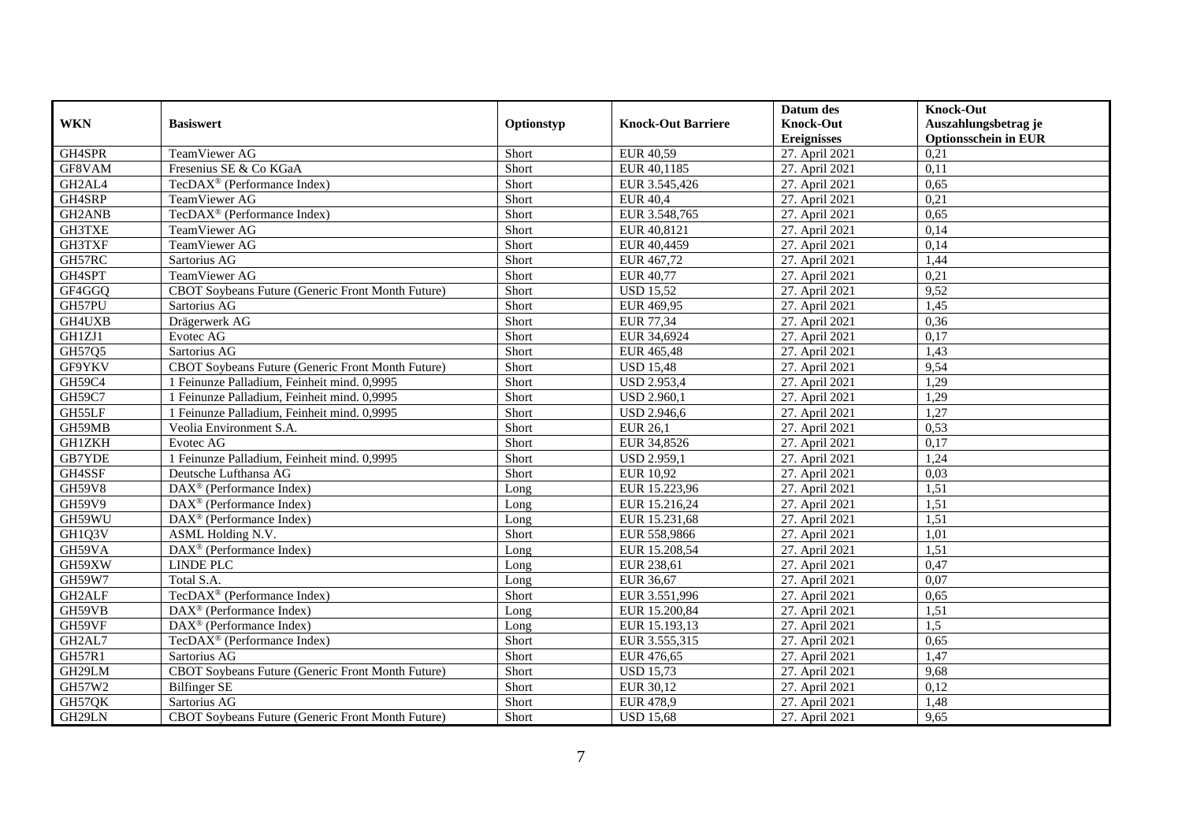|               |                                                   |            |                           | Datum des          | <b>Knock-Out</b>            |
|---------------|---------------------------------------------------|------------|---------------------------|--------------------|-----------------------------|
| <b>WKN</b>    | <b>Basiswert</b>                                  | Optionstyp | <b>Knock-Out Barriere</b> | <b>Knock-Out</b>   | Auszahlungsbetrag je        |
|               |                                                   |            |                           | <b>Ereignisses</b> | <b>Optionsschein in EUR</b> |
| GH4SPR        | TeamViewer AG                                     | Short      | EUR 40,59                 | 27. April 2021     | 0,21                        |
| GF8VAM        | Fresenius SE & Co KGaA                            | Short      | EUR 40,1185               | 27. April 2021     | 0,11                        |
| GH2AL4        | TecDAX <sup>®</sup> (Performance Index)           | Short      | EUR 3.545,426             | 27. April 2021     | 0,65                        |
| GH4SRP        | TeamViewer AG                                     | Short      | <b>EUR 40,4</b>           | 27. April 2021     | 0,21                        |
| GH2ANB        | TecDAX <sup>®</sup> (Performance Index)           | Short      | EUR 3.548,765             | 27. April 2021     | 0,65                        |
| GH3TXE        | TeamViewer AG                                     | Short      | EUR 40,8121               | 27. April 2021     | 0,14                        |
| GH3TXF        | TeamViewer AG                                     | Short      | EUR 40,4459               | 27. April 2021     | 0,14                        |
| GH57RC        | Sartorius AG                                      | Short      | EUR 467,72                | 27. April 2021     | 1,44                        |
| GH4SPT        | TeamViewer AG                                     | Short      | EUR 40,77                 | 27. April 2021     | 0,21                        |
| GF4GGQ        | CBOT Soybeans Future (Generic Front Month Future) | Short      | <b>USD 15,52</b>          | 27. April 2021     | 9,52                        |
| GH57PU        | Sartorius AG                                      | Short      | EUR 469,95                | 27. April 2021     | 1,45                        |
| GH4UXB        | Drägerwerk AG                                     | Short      | EUR 77,34                 | 27. April 2021     | 0,36                        |
| GH1ZJ1        | Evotec AG                                         | Short      | EUR 34,6924               | 27. April 2021     | 0,17                        |
| GH57Q5        | Sartorius AG                                      | Short      | EUR 465,48                | 27. April 2021     | 1,43                        |
| GF9YKV        | CBOT Soybeans Future (Generic Front Month Future) | Short      | <b>USD 15,48</b>          | 27. April 2021     | 9,54                        |
| GH59C4        | 1 Feinunze Palladium, Feinheit mind. 0,9995       | Short      | <b>USD 2.953,4</b>        | 27. April 2021     | 1,29                        |
| <b>GH59C7</b> | 1 Feinunze Palladium, Feinheit mind. 0,9995       | Short      | <b>USD 2.960,1</b>        | 27. April 2021     | 1,29                        |
| GH55LF        | 1 Feinunze Palladium. Feinheit mind. 0.9995       | Short      | <b>USD 2.946,6</b>        | 27. April 2021     | 1.27                        |
| GH59MB        | Veolia Environment S.A.                           | Short      | <b>EUR 26,1</b>           | 27. April 2021     | 0,53                        |
| <b>GH1ZKH</b> | Evotec AG                                         | Short      | EUR 34,8526               | 27. April 2021     | 0,17                        |
| GB7YDE        | 1 Feinunze Palladium, Feinheit mind. 0,9995       | Short      | <b>USD 2.959,1</b>        | 27. April 2021     | 1,24                        |
| GH4SSF        | Deutsche Lufthansa AG                             | Short      | EUR 10,92                 | 27. April 2021     | 0,03                        |
| <b>GH59V8</b> | DAX <sup>®</sup> (Performance Index)              | Long       | EUR 15.223,96             | 27. April 2021     | 1,51                        |
| GH59V9        | DAX <sup>®</sup> (Performance Index)              | Long       | EUR 15.216,24             | 27. April 2021     | 1,51                        |
| GH59WU        | $DAX^{\circledR}$ (Performance Index)             | Long       | EUR 15.231,68             | 27. April 2021     | 1,51                        |
| GH1Q3V        | ASML Holding N.V.                                 | Short      | EUR 558,9866              | 27. April 2021     | 1,01                        |
| GH59VA        | DAX <sup>®</sup> (Performance Index)              | Long       | EUR 15.208,54             | 27. April 2021     | 1,51                        |
| GH59XW        | <b>LINDE PLC</b>                                  | Long       | EUR 238,61                | 27. April 2021     | 0,47                        |
| GH59W7        | Total S.A.                                        | Long       | EUR 36,67                 | 27. April 2021     | 0,07                        |
| GH2ALF        | TecDAX <sup>®</sup> (Performance Index)           | Short      | EUR 3.551,996             | 27. April 2021     | 0,65                        |
| GH59VB        | $\text{DAX}^{\circledast}$ (Performance Index)    | Long       | EUR 15.200,84             | 27. April 2021     | 1,51                        |
| GH59VF        | $DAX^{\circledR}$ (Performance Index)             | $L$ ong    | EUR 15.193,13             | 27. April 2021     | 1.5                         |
| GH2AL7        | TecDAX <sup>®</sup> (Performance Index)           | Short      | EUR 3.555,315             | 27. April 2021     | 0,65                        |
| GH57R1        | Sartorius AG                                      | Short      | EUR 476,65                | 27. April 2021     | 1,47                        |
| GH29LM        | CBOT Soybeans Future (Generic Front Month Future) | Short      | <b>USD 15,73</b>          | 27. April 2021     | 9,68                        |
| GH57W2        | <b>Bilfinger SE</b>                               | Short      | EUR 30,12                 | 27. April 2021     | 0,12                        |
| GH57QK        | Sartorius AG                                      | Short      | <b>EUR 478,9</b>          | 27. April 2021     | 1,48                        |
| GH29LN        | CBOT Soybeans Future (Generic Front Month Future) | Short      | <b>USD 15,68</b>          | 27. April 2021     | 9,65                        |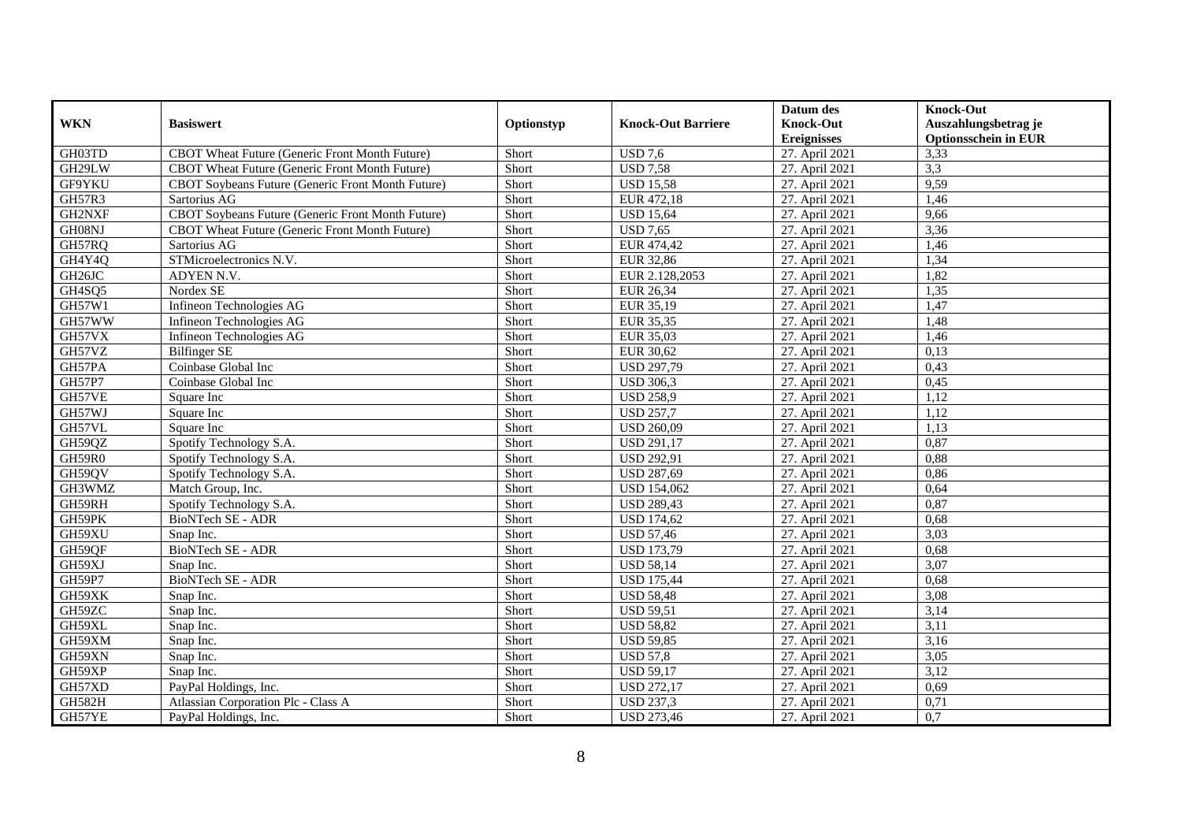|               |                                                   |            |                           | Datum des          | <b>Knock-Out</b>            |
|---------------|---------------------------------------------------|------------|---------------------------|--------------------|-----------------------------|
| <b>WKN</b>    | <b>Basiswert</b>                                  | Optionstyp | <b>Knock-Out Barriere</b> | <b>Knock-Out</b>   | Auszahlungsbetrag je        |
|               |                                                   |            |                           | <b>Ereignisses</b> | <b>Optionsschein in EUR</b> |
| GH03TD        | CBOT Wheat Future (Generic Front Month Future)    | Short      | <b>USD 7,6</b>            | 27. April 2021     | 3,33                        |
| GH29LW        | CBOT Wheat Future (Generic Front Month Future)    | Short      | $\overline{USD 7,58}$     | 27. April 2021     | 3,3                         |
| GF9YKU        | CBOT Soybeans Future (Generic Front Month Future) | Short      | <b>USD 15,58</b>          | 27. April 2021     | 9,59                        |
| GH57R3        | Sartorius AG                                      | Short      | EUR 472,18                | 27. April 2021     | 1,46                        |
| GH2NXF        | CBOT Soybeans Future (Generic Front Month Future) | Short      | <b>USD 15,64</b>          | 27. April 2021     | 9,66                        |
| GH08NJ        | CBOT Wheat Future (Generic Front Month Future)    | Short      | <b>USD 7.65</b>           | 27. April 2021     | 3,36                        |
| GH57RQ        | Sartorius AG                                      | Short      | EUR 474,42                | 27. April 2021     | 1,46                        |
| GH4Y4Q        | STMicroelectronics N.V.                           | Short      | EUR 32,86                 | 27. April 2021     | 1,34                        |
| GH26JC        | ADYEN N.V.                                        | Short      | EUR 2.128,2053            | 27. April 2021     | 1,82                        |
| GH4SQ5        | Nordex SE                                         | Short      | EUR 26,34                 | 27. April 2021     | 1,35                        |
| GH57W1        | Infineon Technologies AG                          | Short      | EUR 35,19                 | 27. April 2021     | 1,47                        |
| GH57WW        | Infineon Technologies AG                          | Short      | EUR 35,35                 | 27. April 2021     | 1,48                        |
| GH57VX        | Infineon Technologies AG                          | Short      | EUR 35,03                 | 27. April 2021     | 1,46                        |
| GH57VZ        | <b>Bilfinger SE</b>                               | Short      | EUR 30,62                 | 27. April 2021     | 0,13                        |
| GH57PA        | Coinbase Global Inc                               | Short      | <b>USD 297,79</b>         | 27. April 2021     | 0,43                        |
| <b>GH57P7</b> | Coinbase Global Inc                               | Short      | <b>USD 306,3</b>          | 27. April 2021     | 0,45                        |
| GH57VE        | Square Inc                                        | Short      | <b>USD 258,9</b>          | 27. April 2021     | 1,12                        |
| GH57WJ        | Square Inc                                        | Short      | <b>USD 257,7</b>          | 27. April 2021     | 1,12                        |
| GH57VL        | Square Inc                                        | Short      | <b>USD 260,09</b>         | 27. April 2021     | 1,13                        |
| GH59QZ        | Spotify Technology S.A.                           | Short      | <b>USD 291,17</b>         | 27. April 2021     | 0,87                        |
| GH59R0        | Spotify Technology S.A.                           | Short      | <b>USD 292,91</b>         | 27. April 2021     | 0,88                        |
| GH59QV        | Spotify Technology S.A.                           | Short      | <b>USD 287,69</b>         | 27. April 2021     | 0,86                        |
| GH3WMZ        | Match Group, Inc.                                 | Short      | <b>USD 154,062</b>        | 27. April 2021     | 0,64                        |
| GH59RH        | Spotify Technology S.A.                           | Short      | <b>USD 289,43</b>         | 27. April 2021     | 0,87                        |
| GH59PK        | BioNTech SE - ADR                                 | Short      | <b>USD 174,62</b>         | 27. April 2021     | 0,68                        |
| GH59XU        | Snap Inc.                                         | Short      | <b>USD 57,46</b>          | 27. April 2021     | 3,03                        |
| GH59QF        | BioNTech SE - ADR                                 | Short      | <b>USD 173,79</b>         | 27. April 2021     | 0,68                        |
| GH59XJ        | Snap Inc.                                         | Short      | <b>USD 58,14</b>          | 27. April 2021     | 3,07                        |
| GH59P7        | BioNTech SE - ADR                                 | Short      | <b>USD 175,44</b>         | 27. April 2021     | 0,68                        |
| GH59XK        | Snap Inc.                                         | Short      | <b>USD 58,48</b>          | 27. April 2021     | 3,08                        |
| GH59ZC        | Snap Inc.                                         | Short      | <b>USD 59,51</b>          | 27. April 2021     | 3,14                        |
| GH59XL        | Snap Inc.                                         | Short      | <b>USD 58,82</b>          | 27. April 2021     | 3,11                        |
| GH59XM        | Snap Inc.                                         | Short      | <b>USD 59,85</b>          | 27. April 2021     | 3,16                        |
| GH59XN        | Snap Inc.                                         | Short      | <b>USD 57,8</b>           | 27. April 2021     | 3,05                        |
| GH59XP        | Snap Inc.                                         | Short      | <b>USD 59,17</b>          | 27. April 2021     | 3,12                        |
| GH57XD        | PayPal Holdings, Inc.                             | Short      | <b>USD 272,17</b>         | 27. April 2021     | 0,69                        |
| <b>GH582H</b> | Atlassian Corporation Plc - Class A               | Short      | <b>USD 237,3</b>          | 27. April 2021     | 0,71                        |
| GH57YE        | PayPal Holdings, Inc.                             | Short      | <b>USD 273,46</b>         | 27. April 2021     | 0,7                         |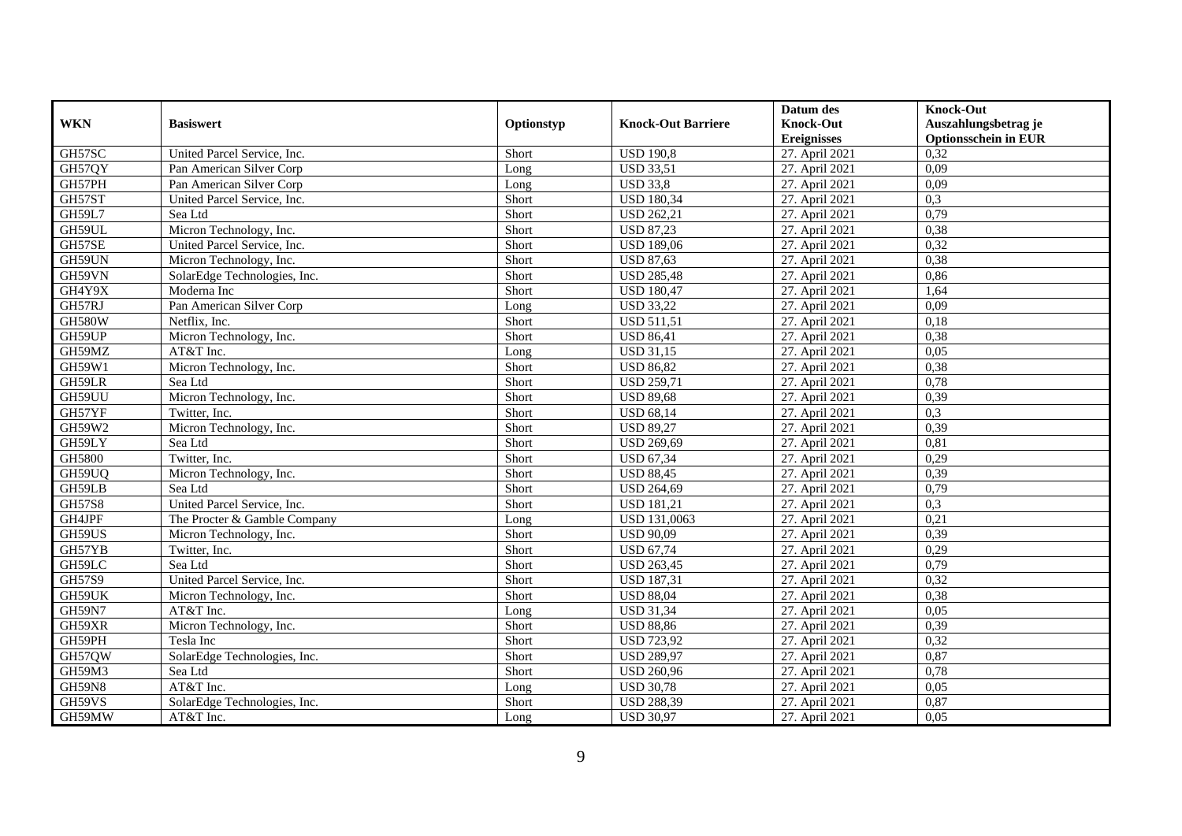|               |                              |            |                           | Datum des          | <b>Knock-Out</b>            |
|---------------|------------------------------|------------|---------------------------|--------------------|-----------------------------|
| <b>WKN</b>    | <b>Basiswert</b>             | Optionstyp | <b>Knock-Out Barriere</b> | <b>Knock-Out</b>   | Auszahlungsbetrag je        |
|               |                              |            |                           | <b>Ereignisses</b> | <b>Optionsschein in EUR</b> |
| GH57SC        | United Parcel Service, Inc.  | Short      | <b>USD 190,8</b>          | 27. April 2021     | 0,32                        |
| GH57QY        | Pan American Silver Corp     | Long       | <b>USD 33,51</b>          | 27. April 2021     | 0,09                        |
| GH57PH        | Pan American Silver Corp     | Long       | <b>USD 33,8</b>           | 27. April 2021     | 0,09                        |
| GH57ST        | United Parcel Service, Inc.  | Short      | <b>USD 180,34</b>         | 27. April 2021     | 0,3                         |
| GH59L7        | Sea Ltd                      | Short      | <b>USD 262,21</b>         | 27. April 2021     | 0,79                        |
| GH59UL        | Micron Technology, Inc.      | Short      | <b>USD 87,23</b>          | 27. April 2021     | 0,38                        |
| GH57SE        | United Parcel Service, Inc.  | Short      | <b>USD 189,06</b>         | 27. April 2021     | 0,32                        |
| GH59UN        | Micron Technology, Inc.      | Short      | <b>USD 87,63</b>          | 27. April 2021     | 0,38                        |
| GH59VN        | SolarEdge Technologies, Inc. | Short      | <b>USD 285,48</b>         | 27. April 2021     | 0,86                        |
| GH4Y9X        | Moderna Inc                  | Short      | <b>USD 180,47</b>         | 27. April 2021     | 1,64                        |
| GH57RJ        | Pan American Silver Corp     | Long       | <b>USD 33,22</b>          | 27. April 2021     | 0,09                        |
| <b>GH580W</b> | Netflix, Inc.                | Short      | <b>USD 511,51</b>         | 27. April 2021     | 0,18                        |
| GH59UP        | Micron Technology, Inc.      | Short      | <b>USD 86,41</b>          | 27. April 2021     | 0,38                        |
| GH59MZ        | AT&T Inc.                    | Long       | <b>USD 31.15</b>          | 27. April 2021     | 0.05                        |
| GH59W1        | Micron Technology, Inc.      | Short      | <b>USD 86,82</b>          | 27. April 2021     | 0,38                        |
| GH59LR        | Sea Ltd                      | Short      | <b>USD 259,71</b>         | 27. April 2021     | 0,78                        |
| GH59UU        | Micron Technology, Inc.      | Short      | <b>USD 89,68</b>          | 27. April 2021     | 0,39                        |
| GH57YF        | Twitter, Inc.                | Short      | <b>USD 68,14</b>          | 27. April 2021     | 0,3                         |
| GH59W2        | Micron Technology, Inc.      | Short      | <b>USD 89,27</b>          | 27. April 2021     | 0,39                        |
| GH59LY        | Sea Ltd                      | Short      | <b>USD 269,69</b>         | 27. April 2021     | 0,81                        |
| GH5800        | Twitter, Inc.                | Short      | <b>USD 67,34</b>          | 27. April 2021     | 0,29                        |
| GH59UO        | Micron Technology, Inc.      | Short      | <b>USD 88,45</b>          | 27. April 2021     | 0,39                        |
| GH59LB        | Sea Ltd                      | Short      | <b>USD 264,69</b>         | 27. April 2021     | 0,79                        |
| <b>GH57S8</b> | United Parcel Service, Inc.  | Short      | <b>USD 181,21</b>         | 27. April 2021     | 0,3                         |
| GH4JPF        | The Procter & Gamble Company | Long       | USD 131,0063              | 27. April 2021     | 0,21                        |
| GH59US        | Micron Technology, Inc.      | Short      | <b>USD 90,09</b>          | 27. April 2021     | 0,39                        |
| GH57YB        | Twitter, Inc.                | Short      | <b>USD 67,74</b>          | 27. April 2021     | 0,29                        |
| GH59LC        | Sea Ltd                      | Short      | <b>USD 263,45</b>         | 27. April 2021     | 0,79                        |
| GH57S9        | United Parcel Service, Inc.  | Short      | <b>USD 187,31</b>         | 27. April 2021     | 0,32                        |
| GH59UK        | Micron Technology, Inc.      | Short      | <b>USD 88,04</b>          | 27. April 2021     | 0,38                        |
| <b>GH59N7</b> | AT&T Inc.                    | Long       | <b>USD 31,34</b>          | 27. April 2021     | 0,05                        |
| GH59XR        | Micron Technology, Inc.      | Short      | <b>USD 88,86</b>          | 27. April 2021     | 0,39                        |
| GH59PH        | Tesla Inc                    | Short      | <b>USD 723,92</b>         | 27. April 2021     | 0,32                        |
| GH57QW        | SolarEdge Technologies, Inc. | Short      | <b>USD 289,97</b>         | 27. April 2021     | 0,87                        |
| GH59M3        | Sea Ltd                      | Short      | <b>USD 260,96</b>         | 27. April 2021     | 0,78                        |
| <b>GH59N8</b> | AT&T Inc.                    | Long       | <b>USD 30,78</b>          | 27. April 2021     | 0,05                        |
| GH59VS        | SolarEdge Technologies, Inc. | Short      | <b>USD 288,39</b>         | 27. April 2021     | 0,87                        |
| GH59MW        | AT&T Inc.                    | Long       | <b>USD 30,97</b>          | 27. April 2021     | 0,05                        |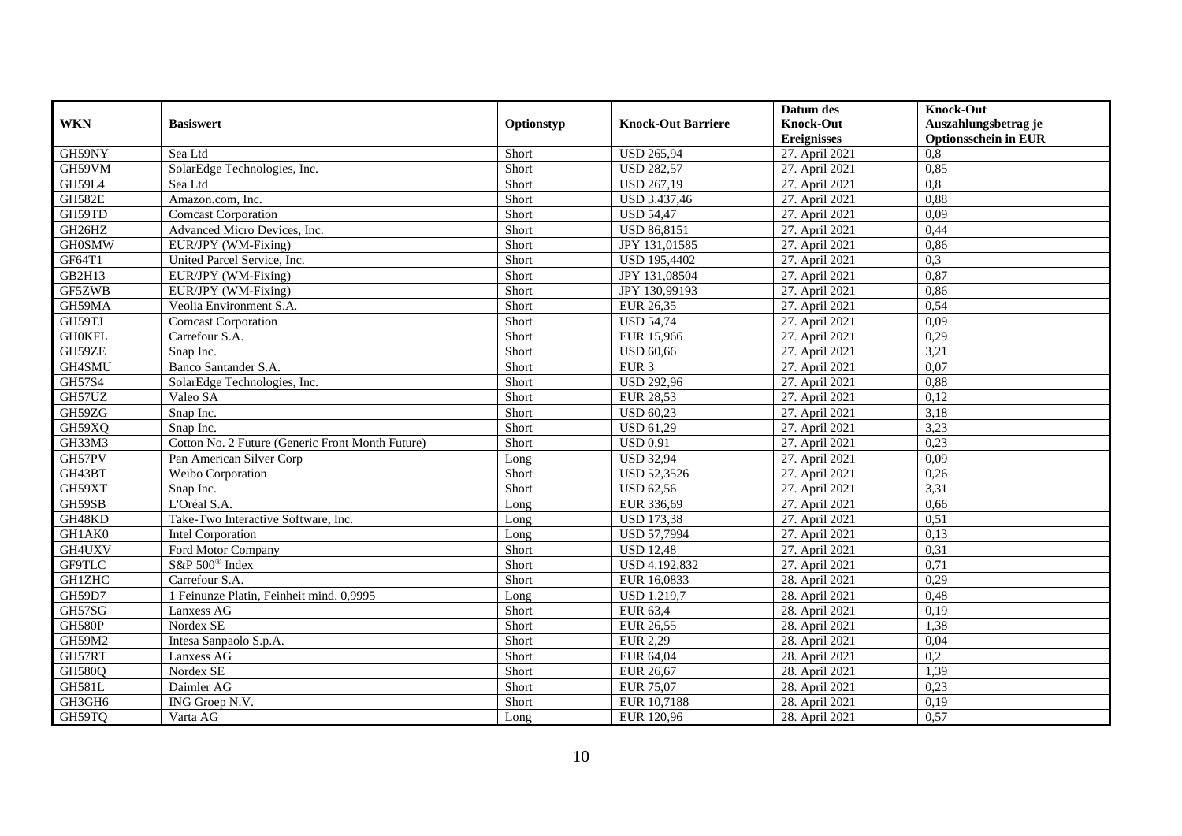|               |                                                  |            |                           | Datum des          | <b>Knock-Out</b>            |
|---------------|--------------------------------------------------|------------|---------------------------|--------------------|-----------------------------|
| <b>WKN</b>    | <b>Basiswert</b>                                 | Optionstyp | <b>Knock-Out Barriere</b> | <b>Knock-Out</b>   | Auszahlungsbetrag je        |
|               |                                                  |            |                           | <b>Ereignisses</b> | <b>Optionsschein in EUR</b> |
| GH59NY        | Sea Ltd                                          | Short      | <b>USD 265,94</b>         | 27. April 2021     | 0,8                         |
| GH59VM        | SolarEdge Technologies, Inc.                     | Short      | <b>USD 282,57</b>         | 27. April 2021     | 0,85                        |
| GH59L4        | Sea Ltd                                          | Short      | <b>USD 267,19</b>         | 27. April 2021     | 0,8                         |
| <b>GH582E</b> | Amazon.com, Inc.                                 | Short      | USD 3.437,46              | 27. April 2021     | 0,88                        |
| GH59TD        | <b>Comcast Corporation</b>                       | Short      | <b>USD 54,47</b>          | 27. April 2021     | 0,09                        |
| GH26HZ        | Advanced Micro Devices, Inc.                     | Short      | <b>USD 86,8151</b>        | 27. April 2021     | 0,44                        |
| <b>GH0SMW</b> | EUR/JPY (WM-Fixing)                              | Short      | JPY 131,01585             | 27. April 2021     | 0,86                        |
| GF64T1        | United Parcel Service, Inc.                      | Short      | <b>USD 195,4402</b>       | 27. April 2021     | 0,3                         |
| GB2H13        | EUR/JPY (WM-Fixing)                              | Short      | JPY 131,08504             | 27. April 2021     | 0,87                        |
| GF5ZWB        | EUR/JPY (WM-Fixing)                              | Short      | JPY 130,99193             | 27. April 2021     | 0,86                        |
| GH59MA        | Veolia Environment S.A.                          | Short      | EUR 26,35                 | 27. April 2021     | 0,54                        |
| GH59TJ        | <b>Comcast Corporation</b>                       | Short      | <b>USD 54,74</b>          | 27. April 2021     | 0,09                        |
| <b>GH0KFL</b> | Carrefour S.A.                                   | Short      | EUR 15,966                | 27. April 2021     | 0,29                        |
| GH59ZE        | Snap Inc.                                        | Short      | <b>USD 60.66</b>          | 27. April 2021     | 3,21                        |
| GH4SMU        | Banco Santander S.A.                             | Short      | EUR <sub>3</sub>          | 27. April 2021     | 0,07                        |
| GH57S4        | SolarEdge Technologies, Inc.                     | Short      | <b>USD 292,96</b>         | 27. April 2021     | 0,88                        |
| GH57UZ        | Valeo SA                                         | Short      | <b>EUR 28,53</b>          | 27. April 2021     | 0,12                        |
| GH59ZG        | Snap Inc.                                        | Short      | <b>USD 60.23</b>          | 27. April 2021     | 3,18                        |
| GH59XQ        | Snap Inc.                                        | Short      | <b>USD 61,29</b>          | 27. April 2021     | 3,23                        |
| GH33M3        | Cotton No. 2 Future (Generic Front Month Future) | Short      | $\overline{USD}$ 0,91     | 27. April 2021     | 0,23                        |
| GH57PV        | Pan American Silver Corp                         | Long       | <b>USD 32,94</b>          | 27. April 2021     | 0.09                        |
| GH43BT        | Weibo Corporation                                | Short      | <b>USD 52,3526</b>        | 27. April 2021     | 0,26                        |
| GH59XT        | Snap Inc.                                        | Short      | <b>USD 62,56</b>          | 27. April 2021     | 3,31                        |
| GH59SB        | L'Oréal S.A.                                     | Long       | EUR 336,69                | 27. April 2021     | 0,66                        |
| GH48KD        | Take-Two Interactive Software, Inc.              | Long       | <b>USD</b> 173,38         | 27. April 2021     | 0,51                        |
| GH1AK0        | <b>Intel Corporation</b>                         | Long       | <b>USD 57,7994</b>        | 27. April 2021     | 0,13                        |
| GH4UXV        | Ford Motor Company                               | Short      | <b>USD 12,48</b>          | 27. April 2021     | 0,31                        |
| <b>GF9TLC</b> | S&P 500 <sup>®</sup> Index                       | Short      | USD 4.192,832             | 27. April 2021     | 0,71                        |
| <b>GH1ZHC</b> | Carrefour S.A.                                   | Short      | EUR 16,0833               | 28. April 2021     | 0,29                        |
| GH59D7        | 1 Feinunze Platin, Feinheit mind. 0,9995         | Long       | <b>USD 1.219,7</b>        | 28. April 2021     | 0,48                        |
| GH57SG        | Lanxess AG                                       | Short      | EUR 63,4                  | 28. April 2021     | 0,19                        |
| <b>GH580P</b> | Nordex SE                                        | Short      | EUR 26,55                 | 28. April 2021     | 1,38                        |
| GH59M2        | Intesa Sanpaolo S.p.A.                           | Short      | <b>EUR 2,29</b>           | 28. April 2021     | 0,04                        |
| GH57RT        | Lanxess AG                                       | Short      | EUR 64,04                 | 28. April 2021     | 0,2                         |
| <b>GH580Q</b> | Nordex SE                                        | Short      | EUR 26,67                 | 28. April 2021     | 1,39                        |
| <b>GH581L</b> | Daimler AG                                       | Short      | <b>EUR 75,07</b>          | 28. April 2021     | 0,23                        |
| GH3GH6        | ING Groep N.V.                                   | Short      | EUR 10,7188               | 28. April 2021     | 0,19                        |
| GH59TQ        | Varta AG                                         | Long       | EUR 120,96                | 28. April 2021     | 0,57                        |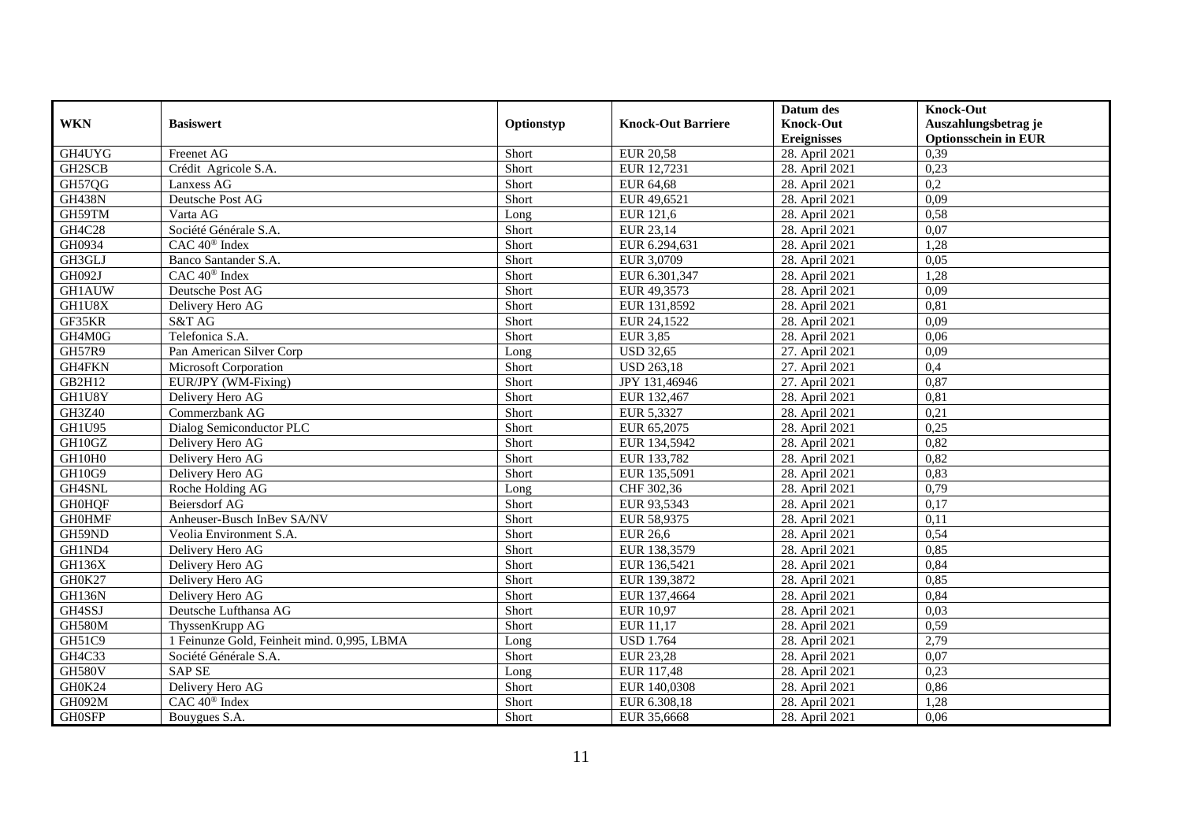|               |                                             |            |                           | Datum des          | Knock-Out                   |
|---------------|---------------------------------------------|------------|---------------------------|--------------------|-----------------------------|
| <b>WKN</b>    | <b>Basiswert</b>                            | Optionstyp | <b>Knock-Out Barriere</b> | <b>Knock-Out</b>   | Auszahlungsbetrag je        |
|               |                                             |            |                           | <b>Ereignisses</b> | <b>Optionsschein in EUR</b> |
| GH4UYG        | Freenet AG                                  | Short      | <b>EUR 20,58</b>          | 28. April 2021     | 0,39                        |
| GH2SCB        | Crédit Agricole S.A.                        | Short      | EUR 12,7231               | 28. April 2021     | 0,23                        |
| GH57QG        | Lanxess AG                                  | Short      | EUR 64,68                 | 28. April 2021     | 0,2                         |
| <b>GH438N</b> | Deutsche Post AG                            | Short      | EUR 49,6521               | 28. April 2021     | 0,09                        |
| GH59TM        | Varta AG                                    | Long       | <b>EUR 121,6</b>          | 28. April 2021     | 0,58                        |
| GH4C28        | Société Générale S.A.                       | Short      | EUR 23,14                 | 28. April 2021     | 0.07                        |
| GH0934        | $CAC 40$ <sup>®</sup> Index                 | Short      | EUR 6.294,631             | 28. April 2021     | 1,28                        |
| GH3GLJ        | Banco Santander S.A.                        | Short      | EUR 3,0709                | 28. April 2021     | 0,05                        |
| GH092J        | CAC 40 <sup>®</sup> Index                   | Short      | EUR 6.301,347             | 28. April 2021     | 1,28                        |
| <b>GH1AUW</b> | Deutsche Post AG                            | Short      | EUR 49,3573               | 28. April 2021     | 0,09                        |
| GH1U8X        | Delivery Hero AG                            | Short      | EUR 131,8592              | 28. April 2021     | 0,81                        |
| GF35KR        | S&T AG                                      | Short      | EUR 24,1522               | 28. April 2021     | 0,09                        |
| GH4M0G        | Telefonica S.A.                             | Short      | <b>EUR 3,85</b>           | 28. April 2021     | 0,06                        |
| GH57R9        | Pan American Silver Corp                    | Long       | <b>USD 32.65</b>          | 27. April 2021     | 0.09                        |
| GH4FKN        | Microsoft Corporation                       | Short      | <b>USD 263,18</b>         | 27. April 2021     | 0,4                         |
| GB2H12        | EUR/JPY (WM-Fixing)                         | Short      | JPY 131,46946             | 27. April 2021     | 0,87                        |
| GH1U8Y        | Delivery Hero AG                            | Short      | EUR 132,467               | 28. April 2021     | 0,81                        |
| GH3Z40        | Commerzbank AG                              | Short      | EUR 5,3327                | 28. April 2021     | 0,21                        |
| GH1U95        | Dialog Semiconductor PLC                    | Short      | EUR 65,2075               | 28. April 2021     | 0,25                        |
| GH10GZ        | Delivery Hero AG                            | Short      | EUR 134,5942              | 28. April 2021     | 0,82                        |
| GH10H0        | Delivery Hero AG                            | Short      | EUR 133,782               | 28. April 2021     | 0,82                        |
| <b>GH10G9</b> | Delivery Hero AG                            | Short      | EUR 135,5091              | 28. April 2021     | 0,83                        |
| GH4SNL        | Roche Holding AG                            | Long       | CHF 302,36                | 28. April 2021     | 0,79                        |
| <b>GH0HQF</b> | Beiersdorf AG                               | Short      | EUR 93,5343               | 28. April 2021     | 0,17                        |
| <b>GH0HMF</b> | Anheuser-Busch InBev SA/NV                  | Short      | EUR 58,9375               | 28. April 2021     | 0,11                        |
| GH59ND        | Veolia Environment S.A.                     | Short      | <b>EUR 26,6</b>           | 28. April 2021     | 0,54                        |
| GH1ND4        | Delivery Hero AG                            | Short      | EUR 138,3579              | 28. April 2021     | 0,85                        |
| GH136X        | Delivery Hero AG                            | Short      | EUR 136,5421              | 28. April 2021     | 0,84                        |
| GH0K27        | Delivery Hero AG                            | Short      | EUR 139,3872              | 28. April 2021     | 0,85                        |
| <b>GH136N</b> | Delivery Hero AG                            | Short      | EUR 137,4664              | 28. April 2021     | 0,84                        |
| GH4SSJ        | Deutsche Lufthansa AG                       | Short      | <b>EUR 10,97</b>          | 28. April 2021     | 0,03                        |
| GH580M        | ThyssenKrupp AG                             | Short      | EUR 11.17                 | 28. April 2021     | 0,59                        |
| GH51C9        | 1 Feinunze Gold, Feinheit mind. 0,995, LBMA | Long       | <b>USD 1.764</b>          | 28. April 2021     | 2,79                        |
| GH4C33        | Société Générale S.A.                       | Short      | <b>EUR 23,28</b>          | 28. April 2021     | 0,07                        |
| <b>GH580V</b> | <b>SAP SE</b>                               | Long       | EUR 117,48                | 28. April 2021     | 0,23                        |
| GH0K24        | Delivery Hero AG                            | Short      | EUR 140,0308              | 28. April 2021     | 0,86                        |
| GH092M        | CAC 40 <sup>®</sup> Index                   | Short      | EUR 6.308,18              | 28. April 2021     | 1,28                        |
| <b>GH0SFP</b> | Bouygues S.A.                               | Short      | EUR 35,6668               | 28. April 2021     | 0,06                        |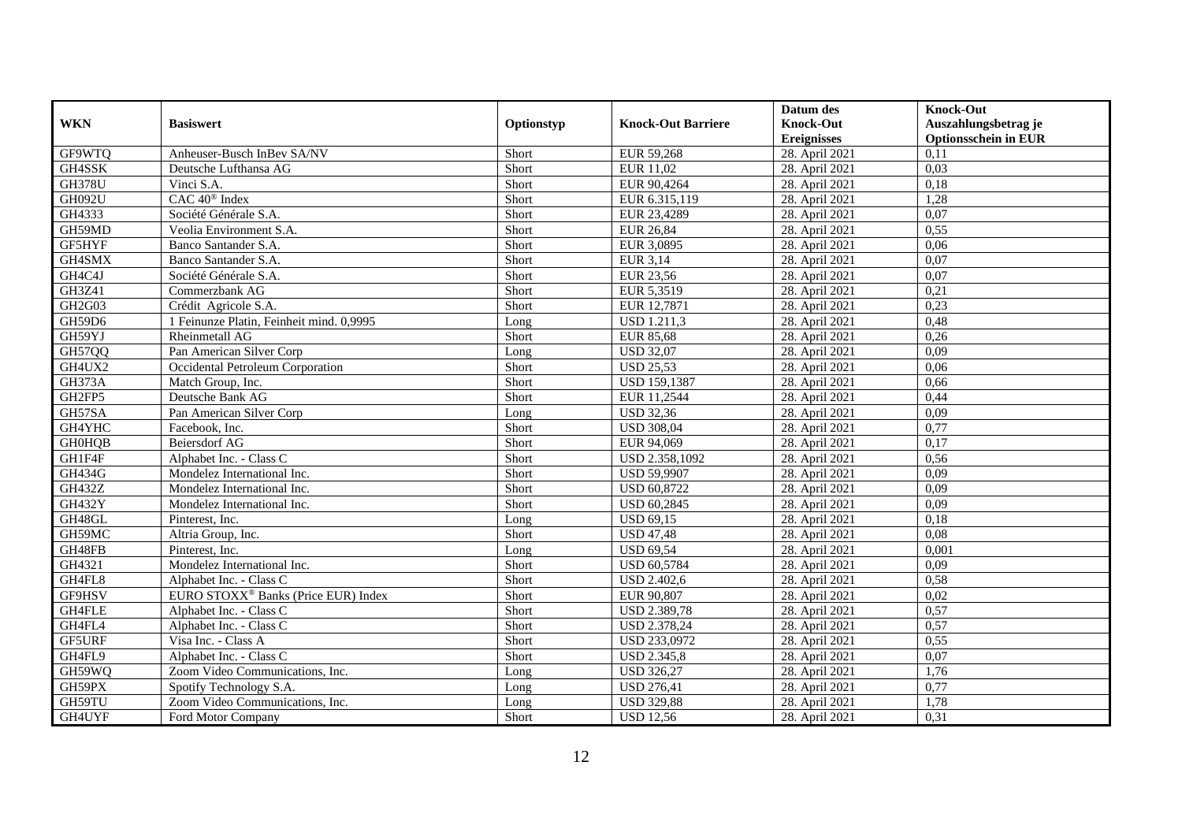|               |                                                 |            |                           | Datum des          | <b>Knock-Out</b>            |
|---------------|-------------------------------------------------|------------|---------------------------|--------------------|-----------------------------|
| <b>WKN</b>    | <b>Basiswert</b>                                | Optionstyp | <b>Knock-Out Barriere</b> | <b>Knock-Out</b>   | Auszahlungsbetrag je        |
|               |                                                 |            |                           | <b>Ereignisses</b> | <b>Optionsschein in EUR</b> |
| GF9WTQ        | Anheuser-Busch InBev SA/NV                      | Short      | EUR 59,268                | 28. April 2021     | 0,11                        |
| GH4SSK        | Deutsche Lufthansa AG                           | Short      | EUR 11,02                 | 28. April 2021     | 0,03                        |
| <b>GH378U</b> | Vinci S.A.                                      | Short      | EUR 90,4264               | 28. April 2021     | 0,18                        |
| GH092U        | CAC 40 <sup>®</sup> Index                       | Short      | EUR 6.315,119             | 28. April 2021     | 1,28                        |
| GH4333        | Société Générale S.A.                           | Short      | EUR 23,4289               | 28. April 2021     | 0,07                        |
| GH59MD        | Veolia Environment S.A.                         | Short      | <b>EUR 26,84</b>          | 28. April 2021     | 0,55                        |
| GF5HYF        | Banco Santander S.A.                            | Short      | EUR 3,0895                | 28. April 2021     | 0,06                        |
| GH4SMX        | Banco Santander S.A.                            | Short      | EUR 3,14                  | 28. April 2021     | 0,07                        |
| GH4C4J        | Société Générale S.A.                           | Short      | <b>EUR 23,56</b>          | 28. April 2021     | 0,07                        |
| GH3Z41        | Commerzbank AG                                  | Short      | EUR 5,3519                | 28. April 2021     | 0,21                        |
| GH2G03        | Crédit Agricole S.A.                            | Short      | EUR 12,7871               | 28. April 2021     | 0,23                        |
| GH59D6        | 1 Feinunze Platin, Feinheit mind. 0,9995        | Long       | <b>USD 1.211,3</b>        | 28. April 2021     | 0,48                        |
| GH59YJ        | Rheinmetall AG                                  | Short      | EUR 85,68                 | 28. April 2021     | 0,26                        |
| <b>GH57QQ</b> | Pan American Silver Corp                        | Long       | <b>USD 32.07</b>          | 28. April 2021     | 0,09                        |
| GH4UX2        | Occidental Petroleum Corporation                | Short      | <b>USD 25,53</b>          | 28. April 2021     | 0,06                        |
| GH373A        | Match Group, Inc.                               | Short      | <b>USD 159,1387</b>       | 28. April 2021     | 0,66                        |
| GH2FP5        | Deutsche Bank AG                                | Short      | EUR 11,2544               | 28. April 2021     | 0,44                        |
| GH57SA        | Pan American Silver Corp                        | Long       | <b>USD 32,36</b>          | 28. April 2021     | 0,09                        |
| GH4YHC        | Facebook, Inc.                                  | Short      | <b>USD 308,04</b>         | 28. April 2021     | 0,77                        |
| <b>GH0HQB</b> | Beiersdorf AG                                   | Short      | EUR 94,069                | 28. April 2021     | 0,17                        |
| GH1F4F        | Alphabet Inc. - Class C                         | Short      | USD 2.358,1092            | 28. April 2021     | 0,56                        |
| <b>GH434G</b> | Mondelez International Inc.                     | Short      | <b>USD 59,9907</b>        | 28. April 2021     | 0,09                        |
| <b>GH432Z</b> | Mondelez International Inc.                     | Short      | <b>USD 60,8722</b>        | 28. April 2021     | 0,09                        |
| <b>GH432Y</b> | Mondelez International Inc.                     | Short      | <b>USD 60,2845</b>        | 28. April 2021     | 0,09                        |
| GH48GL        | Pinterest, Inc.                                 | Long       | <b>USD 69,15</b>          | 28. April 2021     | 0,18                        |
| GH59MC        | Altria Group, Inc.                              | Short      | <b>USD 47,48</b>          | 28. April 2021     | 0,08                        |
| GH48FB        | Pinterest, Inc.                                 | Long       | <b>USD 69,54</b>          | 28. April 2021     | 0,001                       |
| GH4321        | Mondelez International Inc.                     | Short      | <b>USD 60,5784</b>        | 28. April 2021     | 0,09                        |
| GH4FL8        | Alphabet Inc. - Class C                         | Short      | <b>USD 2.402,6</b>        | 28. April 2021     | 0,58                        |
| GF9HSV        | EURO STOXX <sup>®</sup> Banks (Price EUR) Index | Short      | EUR 90,807                | 28. April 2021     | 0,02                        |
| GH4FLE        | Alphabet Inc. - Class C                         | Short      | <b>USD 2.389,78</b>       | 28. April 2021     | 0,57                        |
| GH4FL4        | Alphabet Inc. - Class C                         | Short      | <b>USD 2.378,24</b>       | 28. April 2021     | 0,57                        |
| GF5URF        | Visa Inc. - Class A                             | Short      | USD 233,0972              | 28. April 2021     | 0,55                        |
| GH4FL9        | Alphabet Inc. - Class C                         | Short      | <b>USD 2.345,8</b>        | 28. April 2021     | 0,07                        |
| GH59WQ        | Zoom Video Communications, Inc.                 | Long       | <b>USD 326,27</b>         | 28. April 2021     | 1,76                        |
| GH59PX        | Spotify Technology S.A.                         | Long       | <b>USD 276,41</b>         | 28. April 2021     | 0,77                        |
| GH59TU        | Zoom Video Communications, Inc.                 | Long       | <b>USD 329,88</b>         | 28. April 2021     | 1,78                        |
| GH4UYF        | Ford Motor Company                              | Short      | <b>USD 12,56</b>          | 28. April 2021     | 0,31                        |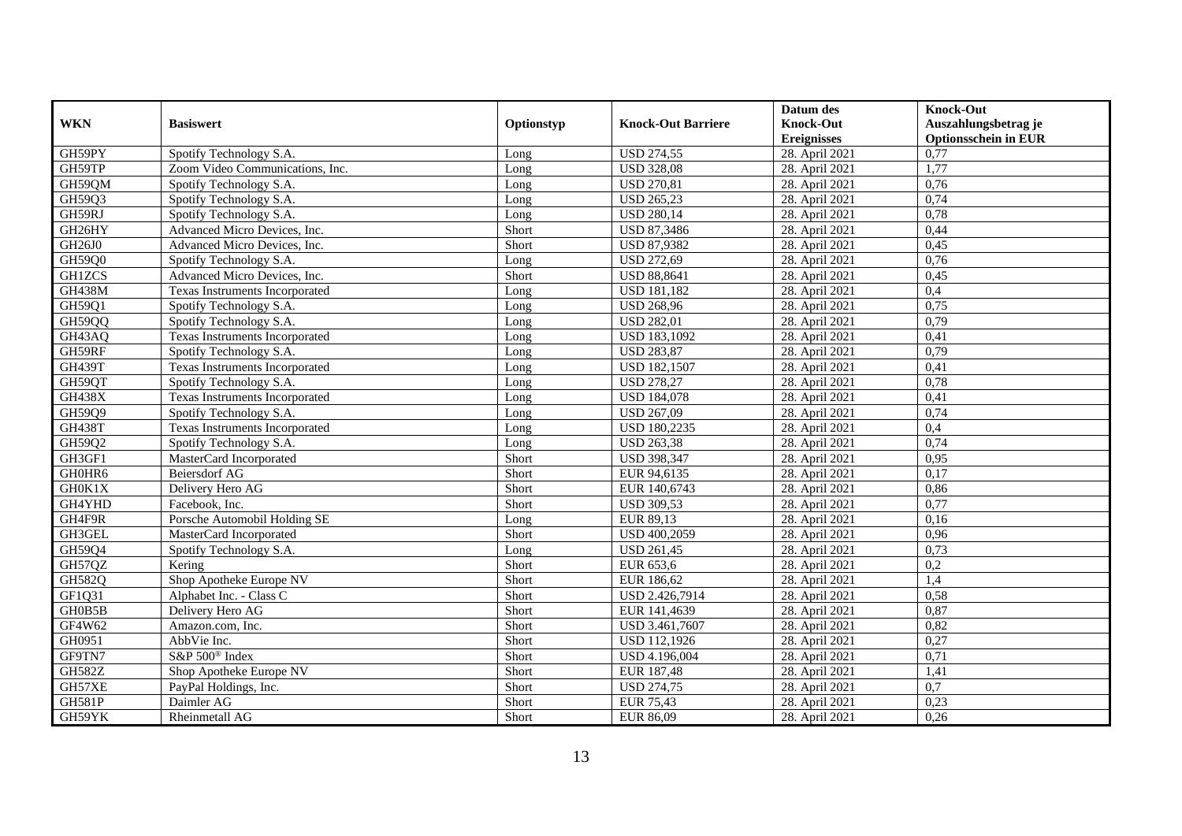| <b>WKN</b>    | <b>Basiswert</b>                | Optionstyp | <b>Knock-Out Barriere</b> | Datum des          | <b>Knock-Out</b>            |
|---------------|---------------------------------|------------|---------------------------|--------------------|-----------------------------|
|               |                                 |            |                           | <b>Knock-Out</b>   | Auszahlungsbetrag je        |
|               |                                 |            |                           | <b>Ereignisses</b> | <b>Optionsschein in EUR</b> |
| GH59PY        | Spotify Technology S.A          | Long       | <b>USD 274,55</b>         | 28. April 2021     | 0,77                        |
| GH59TP        | Zoom Video Communications, Inc. | Long       | <b>USD 328,08</b>         | 28. April 2021     | 1,77                        |
| GH59QM        | Spotify Technology S.A.         | Long       | <b>USD 270,81</b>         | 28. April 2021     | 0,76                        |
| GH59Q3        | Spotify Technology S.A.         | Long       | <b>USD 265,23</b>         | 28. April 2021     | 0,74                        |
| GH59RJ        | Spotify Technology S.A.         | Long       | <b>USD 280,14</b>         | 28. April 2021     | 0,78                        |
| GH26HY        | Advanced Micro Devices, Inc.    | Short      | <b>USD 87,3486</b>        | 28. April 2021     | 0,44                        |
| GH26J0        | Advanced Micro Devices, Inc.    | Short      | <b>USD 87,9382</b>        | 28. April 2021     | 0,45                        |
| GH59Q0        | Spotify Technology S.A.         | Long       | <b>USD 272,69</b>         | 28. April 2021     | 0,76                        |
| <b>GH1ZCS</b> | Advanced Micro Devices, Inc.    | Short      | <b>USD 88,8641</b>        | 28. April 2021     | 0,45                        |
| <b>GH438M</b> | Texas Instruments Incorporated  | Long       | <b>USD 181,182</b>        | 28. April 2021     | 0,4                         |
| GH59Q1        | Spotify Technology S.A.         | Long       | <b>USD 268,96</b>         | 28. April 2021     | 0,75                        |
| <b>GH59QQ</b> | Spotify Technology S.A.         | Long       | <b>USD 282,01</b>         | 28. April 2021     | 0,79                        |
| GH43AQ        | Texas Instruments Incorporated  | Long       | <b>USD 183,1092</b>       | 28. April 2021     | 0,41                        |
| GH59RF        | Spotify Technology S.A.         | Long       | <b>USD 283,87</b>         | 28. April 2021     | 0,79                        |
| <b>GH439T</b> | Texas Instruments Incorporated  | Long       | <b>USD 182,1507</b>       | 28. April 2021     | 0,41                        |
| GH59QT        | Spotify Technology S.A.         | Long       | <b>USD 278,27</b>         | 28. April 2021     | 0,78                        |
| <b>GH438X</b> | Texas Instruments Incorporated  | Long       | <b>USD 184,078</b>        | 28. April 2021     | 0,41                        |
| GH59Q9        | Spotify Technology S.A.         | Long       | <b>USD 267.09</b>         | 28. April 2021     | 0,74                        |
| <b>GH438T</b> | Texas Instruments Incorporated  | Long       | <b>USD 180,2235</b>       | 28. April 2021     | 0,4                         |
| GH59Q2        | Spotify Technology S.A.         | Long       | <b>USD 263,38</b>         | 28. April 2021     | 0,74                        |
| GH3GF1        | MasterCard Incorporated         | Short      | <b>USD 398,347</b>        | 28. April 2021     | 0,95                        |
| GH0HR6        | Beiersdorf AG                   | Short      | EUR 94,6135               | 28. April 2021     | 0,17                        |
| GH0K1X        | Delivery Hero AG                | Short      | EUR 140,6743              | 28. April 2021     | 0,86                        |
| GH4YHD        | Facebook, Inc.                  | Short      | <b>USD 309,53</b>         | 28. April 2021     | 0,77                        |
| GH4F9R        | Porsche Automobil Holding SE    | Long       | EUR 89,13                 | 28. April 2021     | 0,16                        |
| GH3GEL        | MasterCard Incorporated         | Short      | USD 400,2059              | 28. April 2021     | 0,96                        |
| GH59Q4        | Spotify Technology S.A.         | Long       | <b>USD 261,45</b>         | 28. April 2021     | 0,73                        |
| GH57QZ        | Kering                          | Short      | EUR 653,6                 | 28. April 2021     | 0,2                         |
| GH582Q        | Shop Apotheke Europe NV         | Short      | EUR 186,62                | 28. April 2021     | 1,4                         |
| GF1Q31        | Alphabet Inc. - Class C         | Short      | USD 2.426,7914            | 28. April 2021     | 0,58                        |
| GH0B5B        | Delivery Hero AG                | Short      | EUR 141,4639              | 28. April 2021     | 0,87                        |
| GF4W62        | Amazon.com, Inc.                | Short      | USD 3.461,7607            | 28. April 2021     | 0,82                        |
| GH0951        | AbbVie Inc.                     | Short      | USD 112,1926              | 28. April 2021     | 0,27                        |
| GF9TN7        | S&P 500 <sup>®</sup> Index      | Short      | USD 4.196,004             | 28. April 2021     | 0,71                        |
| GH582Z        | Shop Apotheke Europe NV         | Short      | EUR 187,48                | 28. April 2021     | 1,41                        |
| GH57XE        | PayPal Holdings, Inc.           | Short      | <b>USD 274,75</b>         | 28. April 2021     | 0,7                         |
| <b>GH581P</b> | Daimler AG                      | Short      | <b>EUR 75,43</b>          | 28. April 2021     | 0,23                        |
| GH59YK        | Rheinmetall AG                  | Short      | EUR 86,09                 | 28. April 2021     | 0,26                        |